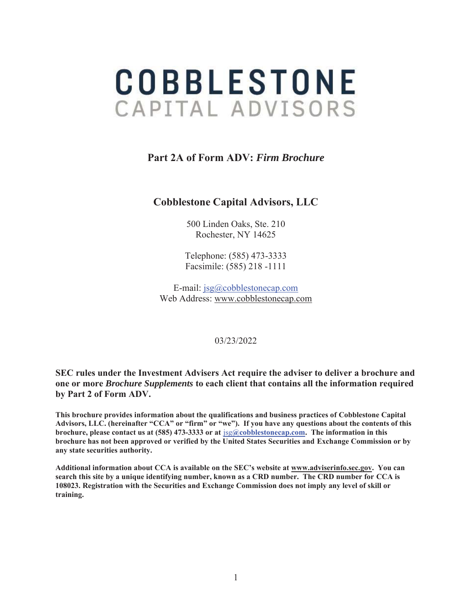# **COBBLESTONE** CAPITAL ADVISORS

# **Part 2A of Form ADV:** *Firm Brochure*

# **Cobblestone Capital Advisors, LLC**

500 Linden Oaks, Ste. 210 Rochester, NY 14625

Telephone: (585) 473-3333 Facsimile: (585) 218 -1111

E-mail: jsg@cobblestonecap.com Web Address: www.cobblestonecap.com

#### 03/23/2022

**SEC rules under the Investment Advisers Act require the adviser to deliver a brochure and one or more** *Brochure Supplements* **to each client that contains all the information required by Part 2 of Form ADV.** 

**This brochure provides information about the qualifications and business practices of Cobblestone Capital Advisors, LLC. (hereinafter "CCA" or "firm" or "we"). If you have any questions about the contents of this brochure, please contact us at (585) 473-3333 or at** jsg**@cobblestonecap.com. The information in this brochure has not been approved or verified by the United States Securities and Exchange Commission or by any state securities authority.** 

**Additional information about CCA is available on the SEC's website at www.adviserinfo.sec.gov. You can search this site by a unique identifying number, known as a CRD number. The CRD number for CCA is 108023. Registration with the Securities and Exchange Commission does not imply any level of skill or training.**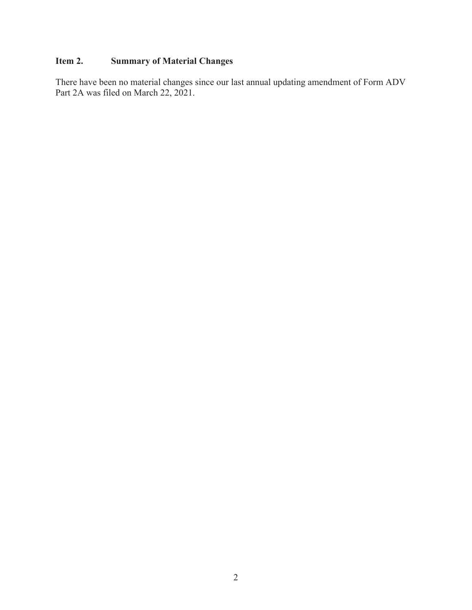# **Item 2. Summary of Material Changes**

There have been no material changes since our last annual updating amendment of Form ADV Part 2A was filed on March 22, 2021.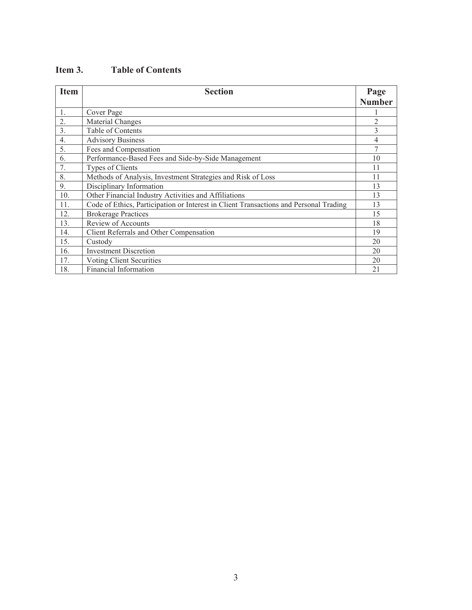| <b>Item</b>      | <b>Section</b>                                                                        | Page<br><b>Number</b> |
|------------------|---------------------------------------------------------------------------------------|-----------------------|
| 1.               | Cover Page                                                                            |                       |
| 2.               | Material Changes                                                                      | $\overline{2}$        |
| 3.               | Table of Contents                                                                     | 3                     |
| $\overline{4}$ . | <b>Advisory Business</b>                                                              | 4                     |
| 5.               | Fees and Compensation                                                                 | 7                     |
| 6.               | Performance-Based Fees and Side-by-Side Management                                    | 10                    |
| 7.               | Types of Clients                                                                      | 11                    |
| 8.               | Methods of Analysis, Investment Strategies and Risk of Loss                           | 11                    |
| 9.               | Disciplinary Information                                                              | 13                    |
| 10.              | Other Financial Industry Activities and Affiliations                                  | 13                    |
| 11.              | Code of Ethics, Participation or Interest in Client Transactions and Personal Trading | 13                    |
| 12.              | <b>Brokerage Practices</b>                                                            | 15                    |
| 13.              | Review of Accounts                                                                    | 18                    |
| 14.              | Client Referrals and Other Compensation                                               | 19                    |
| 15.              | Custody                                                                               | 20                    |
| 16.              | <b>Investment Discretion</b>                                                          | 20                    |
| 17.              | Voting Client Securities                                                              | 20                    |
| 18.              | Financial Information                                                                 | 21                    |

# **Item 3. Table of Contents**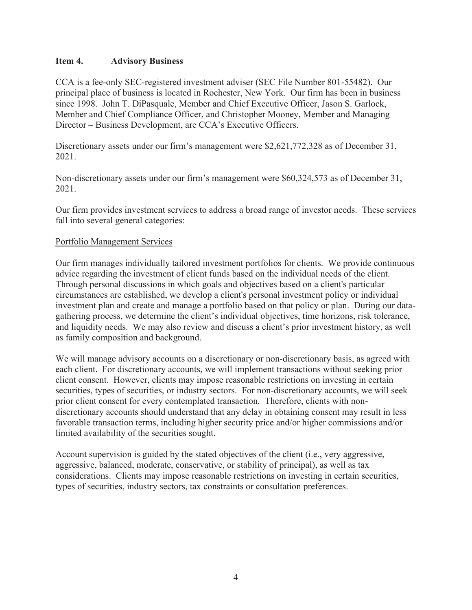## **Item 4. Advisory Business**

CCA is a fee-only SEC-registered investment adviser (SEC File Number 801-55482). Our principal place of business is located in Rochester, New York. Our firm has been in business since 1998. John T. DiPasquale, Member and Chief Executive Officer, Jason S. Garlock, Member and Chief Compliance Officer, and Christopher Mooney, Member and Managing Director – Business Development, are CCA's Executive Officers.

Discretionary assets under our firm's management were \$2,621,772,328 as of December 31, 2021.

Non-discretionary assets under our firm's management were \$60,324,573 as of December 31, 2021.

Our firm provides investment services to address a broad range of investor needs. These services fall into several general categories:

#### Portfolio Management Services

Our firm manages individually tailored investment portfolios for clients. We provide continuous advice regarding the investment of client funds based on the individual needs of the client. Through personal discussions in which goals and objectives based on a client's particular circumstances are established, we develop a client's personal investment policy or individual investment plan and create and manage a portfolio based on that policy or plan. During our datagathering process, we determine the client's individual objectives, time horizons, risk tolerance, and liquidity needs. We may also review and discuss a client's prior investment history, as well as family composition and background.

We will manage advisory accounts on a discretionary or non-discretionary basis, as agreed with each client. For discretionary accounts, we will implement transactions without seeking prior client consent. However, clients may impose reasonable restrictions on investing in certain securities, types of securities, or industry sectors. For non-discretionary accounts, we will seek prior client consent for every contemplated transaction. Therefore, clients with nondiscretionary accounts should understand that any delay in obtaining consent may result in less favorable transaction terms, including higher security price and/or higher commissions and/or limited availability of the securities sought.

Account supervision is guided by the stated objectives of the client (i.e., very aggressive, aggressive, balanced, moderate, conservative, or stability of principal), as well as tax considerations. Clients may impose reasonable restrictions on investing in certain securities, types of securities, industry sectors, tax constraints or consultation preferences.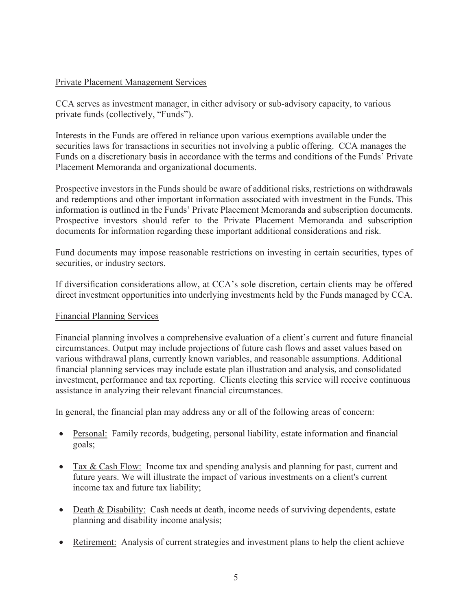## Private Placement Management Services

CCA serves as investment manager, in either advisory or sub-advisory capacity, to various private funds (collectively, "Funds").

Interests in the Funds are offered in reliance upon various exemptions available under the securities laws for transactions in securities not involving a public offering. CCA manages the Funds on a discretionary basis in accordance with the terms and conditions of the Funds' Private Placement Memoranda and organizational documents.

Prospective investors in the Funds should be aware of additional risks, restrictions on withdrawals and redemptions and other important information associated with investment in the Funds. This information is outlined in the Funds' Private Placement Memoranda and subscription documents. Prospective investors should refer to the Private Placement Memoranda and subscription documents for information regarding these important additional considerations and risk.

Fund documents may impose reasonable restrictions on investing in certain securities, types of securities, or industry sectors.

If diversification considerations allow, at CCA's sole discretion, certain clients may be offered direct investment opportunities into underlying investments held by the Funds managed by CCA.

## Financial Planning Services

Financial planning involves a comprehensive evaluation of a client's current and future financial circumstances. Output may include projections of future cash flows and asset values based on various withdrawal plans, currently known variables, and reasonable assumptions. Additional financial planning services may include estate plan illustration and analysis, and consolidated investment, performance and tax reporting. Clients electing this service will receive continuous assistance in analyzing their relevant financial circumstances.

In general, the financial plan may address any or all of the following areas of concern:

- Personal: Family records, budgeting, personal liability, estate information and financial goals;
- Tax & Cash Flow: Income tax and spending analysis and planning for past, current and future years. We will illustrate the impact of various investments on a client's current income tax and future tax liability;
- $\bullet$  Death & Disability: Cash needs at death, income needs of surviving dependents, estate planning and disability income analysis;
- Retirement: Analysis of current strategies and investment plans to help the client achieve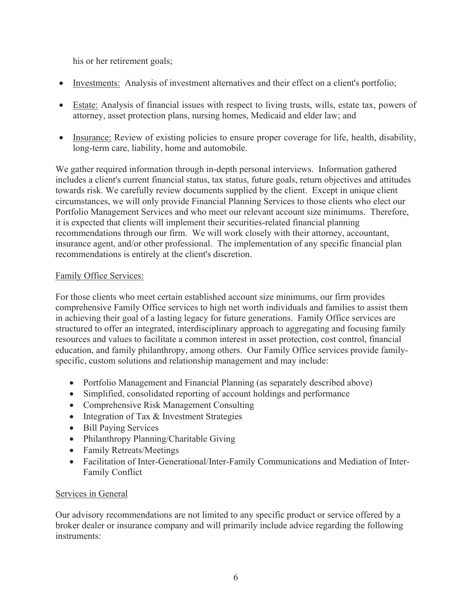his or her retirement goals;

- Investments: Analysis of investment alternatives and their effect on a client's portfolio;
- Estate: Analysis of financial issues with respect to living trusts, wills, estate tax, powers of attorney, asset protection plans, nursing homes, Medicaid and elder law; and
- Insurance: Review of existing policies to ensure proper coverage for life, health, disability, long-term care, liability, home and automobile.

We gather required information through in-depth personal interviews. Information gathered includes a client's current financial status, tax status, future goals, return objectives and attitudes towards risk. We carefully review documents supplied by the client. Except in unique client circumstances, we will only provide Financial Planning Services to those clients who elect our Portfolio Management Services and who meet our relevant account size minimums. Therefore, it is expected that clients will implement their securities-related financial planning recommendations through our firm. We will work closely with their attorney, accountant, insurance agent, and/or other professional. The implementation of any specific financial plan recommendations is entirely at the client's discretion.

## Family Office Services:

For those clients who meet certain established account size minimums, our firm provides comprehensive Family Office services to high net worth individuals and families to assist them in achieving their goal of a lasting legacy for future generations. Family Office services are structured to offer an integrated, interdisciplinary approach to aggregating and focusing family resources and values to facilitate a common interest in asset protection, cost control, financial education, and family philanthropy, among others. Our Family Office services provide familyspecific, custom solutions and relationship management and may include:

- Portfolio Management and Financial Planning (as separately described above)
- Simplified, consolidated reporting of account holdings and performance
- Comprehensive Risk Management Consulting
- $\bullet$  Integration of Tax & Investment Strategies
- Bill Paying Services
- Philanthropy Planning/Charitable Giving
- Family Retreats/Meetings
- Facilitation of Inter-Generational/Inter-Family Communications and Mediation of Inter-Family Conflict

## Services in General

Our advisory recommendations are not limited to any specific product or service offered by a broker dealer or insurance company and will primarily include advice regarding the following instruments: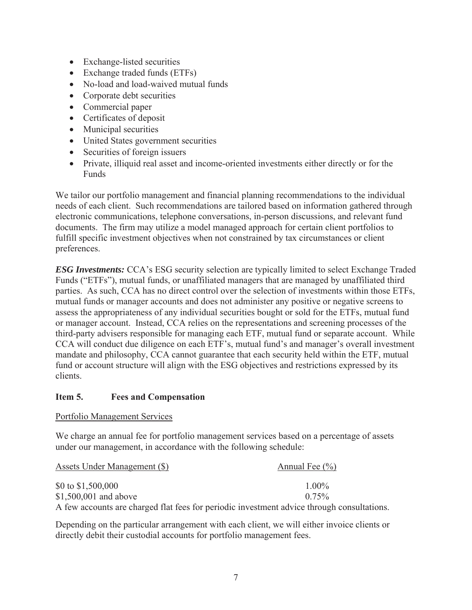- Exchange-listed securities
- $\bullet$  Exchange traded funds (ETFs)
- No-load and load-waived mutual funds
- $\bullet$  Corporate debt securities
- Commercial paper
- $\bullet$  Certificates of deposit
- Municipal securities
- United States government securities
- Securities of foreign issuers
- Private, illiquid real asset and income-oriented investments either directly or for the Funds

We tailor our portfolio management and financial planning recommendations to the individual needs of each client. Such recommendations are tailored based on information gathered through electronic communications, telephone conversations, in-person discussions, and relevant fund documents. The firm may utilize a model managed approach for certain client portfolios to fulfill specific investment objectives when not constrained by tax circumstances or client preferences.

*ESG Investments:* CCA's ESG security selection are typically limited to select Exchange Traded Funds ("ETFs"), mutual funds, or unaffiliated managers that are managed by unaffiliated third parties. As such, CCA has no direct control over the selection of investments within those ETFs, mutual funds or manager accounts and does not administer any positive or negative screens to assess the appropriateness of any individual securities bought or sold for the ETFs, mutual fund or manager account. Instead, CCA relies on the representations and screening processes of the third-party advisers responsible for managing each ETF, mutual fund or separate account. While CCA will conduct due diligence on each ETF's, mutual fund's and manager's overall investment mandate and philosophy, CCA cannot guarantee that each security held within the ETF, mutual fund or account structure will align with the ESG objectives and restrictions expressed by its clients.

## **Item 5. Fees and Compensation**

Portfolio Management Services

We charge an annual fee for portfolio management services based on a percentage of assets under our management, in accordance with the following schedule:

| Assets Under Management (\$) | Annual Fee $(\% )$                                                                         |
|------------------------------|--------------------------------------------------------------------------------------------|
| \$0 to $$1,500,000$          | $1.00\%$                                                                                   |
| $$1,500,001$ and above       | $0.75\%$                                                                                   |
|                              | A few accounts are charged flat fees for periodic investment advice through consultations. |

Depending on the particular arrangement with each client, we will either invoice clients or directly debit their custodial accounts for portfolio management fees.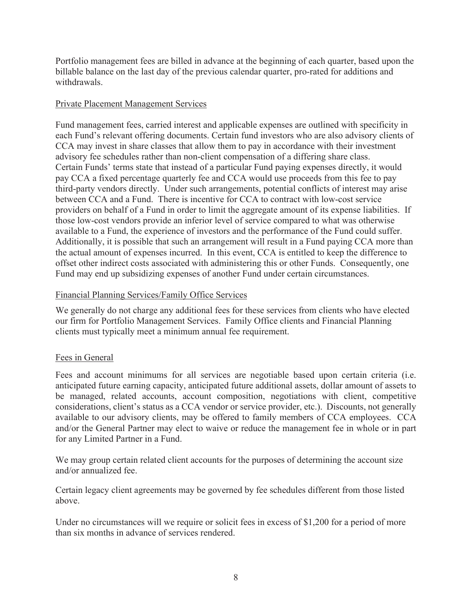Portfolio management fees are billed in advance at the beginning of each quarter, based upon the billable balance on the last day of the previous calendar quarter, pro-rated for additions and withdrawals.

## Private Placement Management Services

Fund management fees, carried interest and applicable expenses are outlined with specificity in each Fund's relevant offering documents. Certain fund investors who are also advisory clients of CCA may invest in share classes that allow them to pay in accordance with their investment advisory fee schedules rather than non-client compensation of a differing share class. Certain Funds' terms state that instead of a particular Fund paying expenses directly, it would pay CCA a fixed percentage quarterly fee and CCA would use proceeds from this fee to pay third-party vendors directly. Under such arrangements, potential conflicts of interest may arise between CCA and a Fund. There is incentive for CCA to contract with low-cost service providers on behalf of a Fund in order to limit the aggregate amount of its expense liabilities. If those low-cost vendors provide an inferior level of service compared to what was otherwise available to a Fund, the experience of investors and the performance of the Fund could suffer. Additionally, it is possible that such an arrangement will result in a Fund paying CCA more than the actual amount of expenses incurred. In this event, CCA is entitled to keep the difference to offset other indirect costs associated with administering this or other Funds. Consequently, one Fund may end up subsidizing expenses of another Fund under certain circumstances.

## Financial Planning Services/Family Office Services

We generally do not charge any additional fees for these services from clients who have elected our firm for Portfolio Management Services. Family Office clients and Financial Planning clients must typically meet a minimum annual fee requirement.

## Fees in General

Fees and account minimums for all services are negotiable based upon certain criteria (i.e. anticipated future earning capacity, anticipated future additional assets, dollar amount of assets to be managed, related accounts, account composition, negotiations with client, competitive considerations, client's status as a CCA vendor or service provider, etc.). Discounts, not generally available to our advisory clients, may be offered to family members of CCA employees. CCA and/or the General Partner may elect to waive or reduce the management fee in whole or in part for any Limited Partner in a Fund.

We may group certain related client accounts for the purposes of determining the account size and/or annualized fee.

Certain legacy client agreements may be governed by fee schedules different from those listed above.

Under no circumstances will we require or solicit fees in excess of \$1,200 for a period of more than six months in advance of services rendered.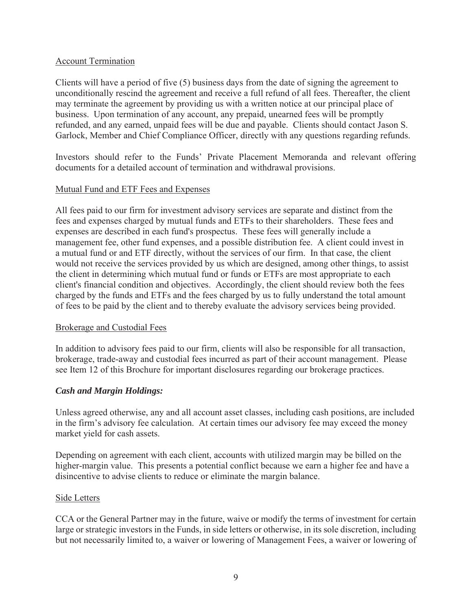## Account Termination

Clients will have a period of five (5) business days from the date of signing the agreement to unconditionally rescind the agreement and receive a full refund of all fees. Thereafter, the client may terminate the agreement by providing us with a written notice at our principal place of business. Upon termination of any account, any prepaid, unearned fees will be promptly refunded, and any earned, unpaid fees will be due and payable. Clients should contact Jason S. Garlock, Member and Chief Compliance Officer, directly with any questions regarding refunds.

Investors should refer to the Funds' Private Placement Memoranda and relevant offering documents for a detailed account of termination and withdrawal provisions.

## Mutual Fund and ETF Fees and Expenses

All fees paid to our firm for investment advisory services are separate and distinct from the fees and expenses charged by mutual funds and ETFs to their shareholders. These fees and expenses are described in each fund's prospectus. These fees will generally include a management fee, other fund expenses, and a possible distribution fee. A client could invest in a mutual fund or and ETF directly, without the services of our firm. In that case, the client would not receive the services provided by us which are designed, among other things, to assist the client in determining which mutual fund or funds or ETFs are most appropriate to each client's financial condition and objectives. Accordingly, the client should review both the fees charged by the funds and ETFs and the fees charged by us to fully understand the total amount of fees to be paid by the client and to thereby evaluate the advisory services being provided.

#### Brokerage and Custodial Fees

In addition to advisory fees paid to our firm, clients will also be responsible for all transaction, brokerage, trade-away and custodial fees incurred as part of their account management. Please see Item 12 of this Brochure for important disclosures regarding our brokerage practices.

#### *Cash and Margin Holdings:*

Unless agreed otherwise, any and all account asset classes, including cash positions, are included in the firm's advisory fee calculation. At certain times our advisory fee may exceed the money market yield for cash assets.

Depending on agreement with each client, accounts with utilized margin may be billed on the higher-margin value. This presents a potential conflict because we earn a higher fee and have a disincentive to advise clients to reduce or eliminate the margin balance.

#### Side Letters

CCA or the General Partner may in the future, waive or modify the terms of investment for certain large or strategic investors in the Funds, in side letters or otherwise, in its sole discretion, including but not necessarily limited to, a waiver or lowering of Management Fees, a waiver or lowering of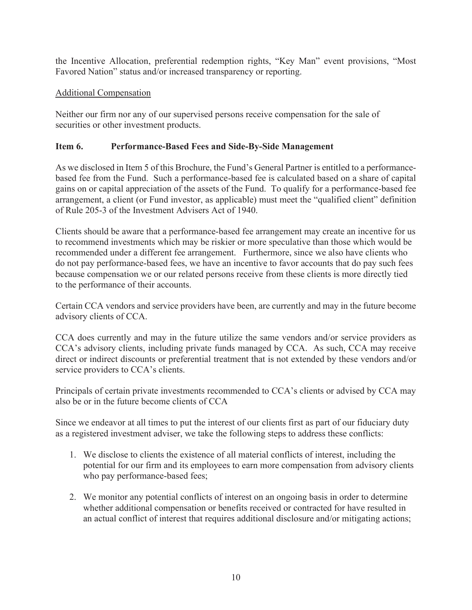the Incentive Allocation, preferential redemption rights, "Key Man" event provisions, "Most Favored Nation" status and/or increased transparency or reporting.

# Additional Compensation

Neither our firm nor any of our supervised persons receive compensation for the sale of securities or other investment products.

# **Item 6. Performance-Based Fees and Side-By-Side Management**

As we disclosed in Item 5 of this Brochure, the Fund's General Partner is entitled to a performancebased fee from the Fund. Such a performance-based fee is calculated based on a share of capital gains on or capital appreciation of the assets of the Fund. To qualify for a performance-based fee arrangement, a client (or Fund investor, as applicable) must meet the "qualified client" definition of Rule 205-3 of the Investment Advisers Act of 1940.

Clients should be aware that a performance-based fee arrangement may create an incentive for us to recommend investments which may be riskier or more speculative than those which would be recommended under a different fee arrangement. Furthermore, since we also have clients who do not pay performance-based fees, we have an incentive to favor accounts that do pay such fees because compensation we or our related persons receive from these clients is more directly tied to the performance of their accounts.

Certain CCA vendors and service providers have been, are currently and may in the future become advisory clients of CCA.

CCA does currently and may in the future utilize the same vendors and/or service providers as CCA's advisory clients, including private funds managed by CCA. As such, CCA may receive direct or indirect discounts or preferential treatment that is not extended by these vendors and/or service providers to CCA's clients.

Principals of certain private investments recommended to CCA's clients or advised by CCA may also be or in the future become clients of CCA

Since we endeavor at all times to put the interest of our clients first as part of our fiduciary duty as a registered investment adviser, we take the following steps to address these conflicts:

- 1. We disclose to clients the existence of all material conflicts of interest, including the potential for our firm and its employees to earn more compensation from advisory clients who pay performance-based fees;
- 2. We monitor any potential conflicts of interest on an ongoing basis in order to determine whether additional compensation or benefits received or contracted for have resulted in an actual conflict of interest that requires additional disclosure and/or mitigating actions;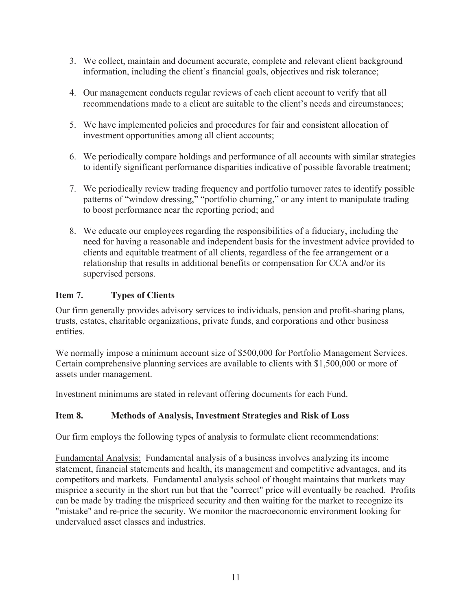- 3. We collect, maintain and document accurate, complete and relevant client background information, including the client's financial goals, objectives and risk tolerance;
- 4. Our management conducts regular reviews of each client account to verify that all recommendations made to a client are suitable to the client's needs and circumstances;
- 5. We have implemented policies and procedures for fair and consistent allocation of investment opportunities among all client accounts;
- 6. We periodically compare holdings and performance of all accounts with similar strategies to identify significant performance disparities indicative of possible favorable treatment;
- 7. We periodically review trading frequency and portfolio turnover rates to identify possible patterns of "window dressing," "portfolio churning," or any intent to manipulate trading to boost performance near the reporting period; and
- 8. We educate our employees regarding the responsibilities of a fiduciary, including the need for having a reasonable and independent basis for the investment advice provided to clients and equitable treatment of all clients, regardless of the fee arrangement or a relationship that results in additional benefits or compensation for CCA and/or its supervised persons.

# **Item 7. Types of Clients**

Our firm generally provides advisory services to individuals, pension and profit-sharing plans, trusts, estates, charitable organizations, private funds, and corporations and other business entities.

We normally impose a minimum account size of \$500,000 for Portfolio Management Services. Certain comprehensive planning services are available to clients with \$1,500,000 or more of assets under management.

Investment minimums are stated in relevant offering documents for each Fund.

# **Item 8. Methods of Analysis, Investment Strategies and Risk of Loss**

Our firm employs the following types of analysis to formulate client recommendations:

Fundamental Analysis: Fundamental analysis of a business involves analyzing its income statement, financial statements and health, its management and competitive advantages, and its competitors and markets. Fundamental analysis school of thought maintains that markets may misprice a security in the short run but that the "correct" price will eventually be reached. Profits can be made by trading the mispriced security and then waiting for the market to recognize its "mistake" and re-price the security. We monitor the macroeconomic environment looking for undervalued asset classes and industries.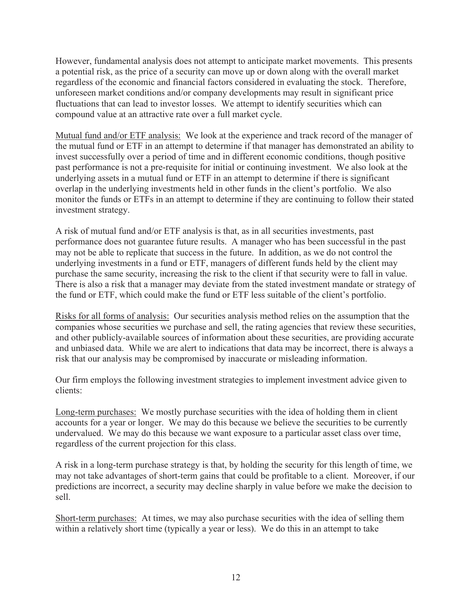However, fundamental analysis does not attempt to anticipate market movements. This presents a potential risk, as the price of a security can move up or down along with the overall market regardless of the economic and financial factors considered in evaluating the stock. Therefore, unforeseen market conditions and/or company developments may result in significant price fluctuations that can lead to investor losses. We attempt to identify securities which can compound value at an attractive rate over a full market cycle.

Mutual fund and/or ETF analysis: We look at the experience and track record of the manager of the mutual fund or ETF in an attempt to determine if that manager has demonstrated an ability to invest successfully over a period of time and in different economic conditions, though positive past performance is not a pre-requisite for initial or continuing investment. We also look at the underlying assets in a mutual fund or ETF in an attempt to determine if there is significant overlap in the underlying investments held in other funds in the client's portfolio. We also monitor the funds or ETFs in an attempt to determine if they are continuing to follow their stated investment strategy.

A risk of mutual fund and/or ETF analysis is that, as in all securities investments, past performance does not guarantee future results. A manager who has been successful in the past may not be able to replicate that success in the future. In addition, as we do not control the underlying investments in a fund or ETF, managers of different funds held by the client may purchase the same security, increasing the risk to the client if that security were to fall in value. There is also a risk that a manager may deviate from the stated investment mandate or strategy of the fund or ETF, which could make the fund or ETF less suitable of the client's portfolio.

Risks for all forms of analysis: Our securities analysis method relies on the assumption that the companies whose securities we purchase and sell, the rating agencies that review these securities, and other publicly-available sources of information about these securities, are providing accurate and unbiased data. While we are alert to indications that data may be incorrect, there is always a risk that our analysis may be compromised by inaccurate or misleading information.

Our firm employs the following investment strategies to implement investment advice given to clients:

Long-term purchases: We mostly purchase securities with the idea of holding them in client accounts for a year or longer. We may do this because we believe the securities to be currently undervalued. We may do this because we want exposure to a particular asset class over time, regardless of the current projection for this class.

A risk in a long-term purchase strategy is that, by holding the security for this length of time, we may not take advantages of short-term gains that could be profitable to a client. Moreover, if our predictions are incorrect, a security may decline sharply in value before we make the decision to sell.

Short-term purchases: At times, we may also purchase securities with the idea of selling them within a relatively short time (typically a year or less). We do this in an attempt to take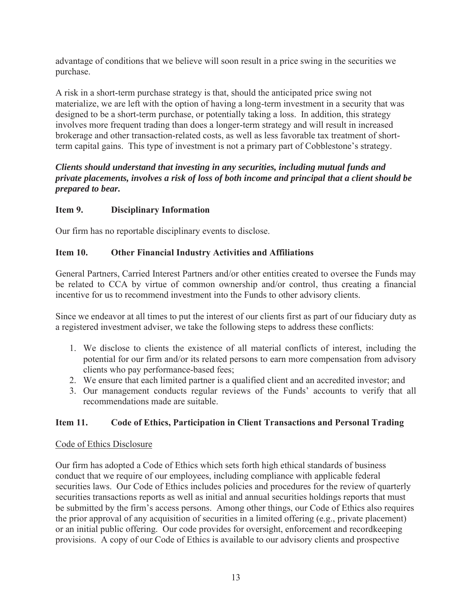advantage of conditions that we believe will soon result in a price swing in the securities we purchase.

A risk in a short-term purchase strategy is that, should the anticipated price swing not materialize, we are left with the option of having a long-term investment in a security that was designed to be a short-term purchase, or potentially taking a loss. In addition, this strategy involves more frequent trading than does a longer-term strategy and will result in increased brokerage and other transaction-related costs, as well as less favorable tax treatment of shortterm capital gains. This type of investment is not a primary part of Cobblestone's strategy.

## *Clients should understand that investing in any securities, including mutual funds and private placements, involves a risk of loss of both income and principal that a client should be prepared to bear.*

## **Item 9. Disciplinary Information**

Our firm has no reportable disciplinary events to disclose.

## **Item 10. Other Financial Industry Activities and Affiliations**

General Partners, Carried Interest Partners and/or other entities created to oversee the Funds may be related to CCA by virtue of common ownership and/or control, thus creating a financial incentive for us to recommend investment into the Funds to other advisory clients.

Since we endeavor at all times to put the interest of our clients first as part of our fiduciary duty as a registered investment adviser, we take the following steps to address these conflicts:

- 1. We disclose to clients the existence of all material conflicts of interest, including the potential for our firm and/or its related persons to earn more compensation from advisory clients who pay performance-based fees;
- 2. We ensure that each limited partner is a qualified client and an accredited investor; and
- 3. Our management conducts regular reviews of the Funds' accounts to verify that all recommendations made are suitable.

## **Item 11. Code of Ethics, Participation in Client Transactions and Personal Trading**

## Code of Ethics Disclosure

Our firm has adopted a Code of Ethics which sets forth high ethical standards of business conduct that we require of our employees, including compliance with applicable federal securities laws. Our Code of Ethics includes policies and procedures for the review of quarterly securities transactions reports as well as initial and annual securities holdings reports that must be submitted by the firm's access persons. Among other things, our Code of Ethics also requires the prior approval of any acquisition of securities in a limited offering (e.g., private placement) or an initial public offering. Our code provides for oversight, enforcement and recordkeeping provisions. A copy of our Code of Ethics is available to our advisory clients and prospective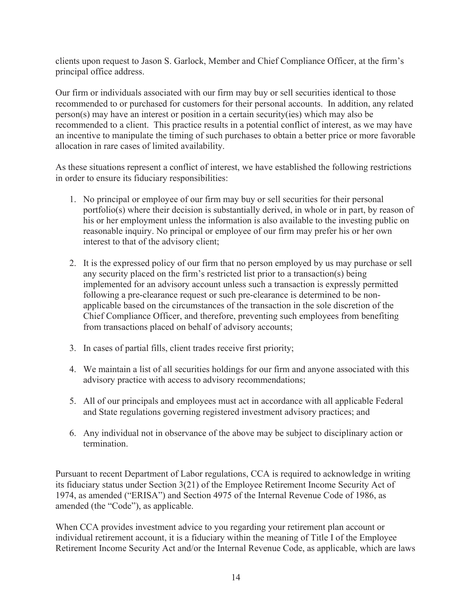clients upon request to Jason S. Garlock, Member and Chief Compliance Officer, at the firm's principal office address.

Our firm or individuals associated with our firm may buy or sell securities identical to those recommended to or purchased for customers for their personal accounts. In addition, any related person(s) may have an interest or position in a certain security(ies) which may also be recommended to a client. This practice results in a potential conflict of interest, as we may have an incentive to manipulate the timing of such purchases to obtain a better price or more favorable allocation in rare cases of limited availability.

As these situations represent a conflict of interest, we have established the following restrictions in order to ensure its fiduciary responsibilities:

- 1. No principal or employee of our firm may buy or sell securities for their personal portfolio(s) where their decision is substantially derived, in whole or in part, by reason of his or her employment unless the information is also available to the investing public on reasonable inquiry. No principal or employee of our firm may prefer his or her own interest to that of the advisory client;
- 2. It is the expressed policy of our firm that no person employed by us may purchase or sell any security placed on the firm's restricted list prior to a transaction(s) being implemented for an advisory account unless such a transaction is expressly permitted following a pre-clearance request or such pre-clearance is determined to be nonapplicable based on the circumstances of the transaction in the sole discretion of the Chief Compliance Officer, and therefore, preventing such employees from benefiting from transactions placed on behalf of advisory accounts;
- 3. In cases of partial fills, client trades receive first priority;
- 4. We maintain a list of all securities holdings for our firm and anyone associated with this advisory practice with access to advisory recommendations;
- 5. All of our principals and employees must act in accordance with all applicable Federal and State regulations governing registered investment advisory practices; and
- 6. Any individual not in observance of the above may be subject to disciplinary action or termination.

Pursuant to recent Department of Labor regulations, CCA is required to acknowledge in writing its fiduciary status under Section 3(21) of the Employee Retirement Income Security Act of 1974, as amended ("ERISA") and Section 4975 of the Internal Revenue Code of 1986, as amended (the "Code"), as applicable.

When CCA provides investment advice to you regarding your retirement plan account or individual retirement account, it is a fiduciary within the meaning of Title I of the Employee Retirement Income Security Act and/or the Internal Revenue Code, as applicable, which are laws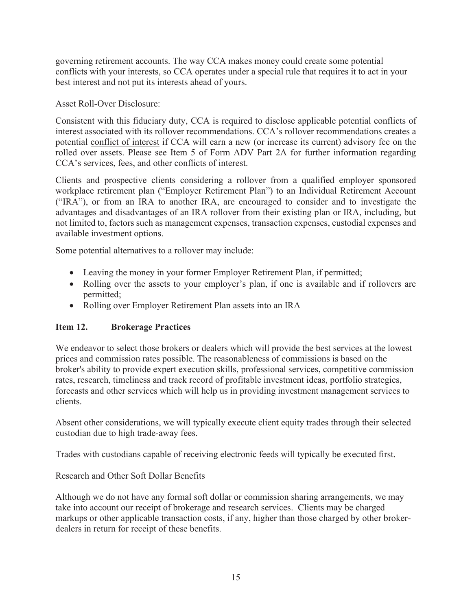governing retirement accounts. The way CCA makes money could create some potential conflicts with your interests, so CCA operates under a special rule that requires it to act in your best interest and not put its interests ahead of yours.

## Asset Roll-Over Disclosure:

Consistent with this fiduciary duty, CCA is required to disclose applicable potential conflicts of interest associated with its rollover recommendations. CCA's rollover recommendations creates a potential conflict of interest if CCA will earn a new (or increase its current) advisory fee on the rolled over assets. Please see Item 5 of Form ADV Part 2A for further information regarding CCA's services, fees, and other conflicts of interest.

Clients and prospective clients considering a rollover from a qualified employer sponsored workplace retirement plan ("Employer Retirement Plan") to an Individual Retirement Account ("IRA"), or from an IRA to another IRA, are encouraged to consider and to investigate the advantages and disadvantages of an IRA rollover from their existing plan or IRA, including, but not limited to, factors such as management expenses, transaction expenses, custodial expenses and available investment options.

Some potential alternatives to a rollover may include:

- Leaving the money in your former Employer Retirement Plan, if permitted;
- Rolling over the assets to your employer's plan, if one is available and if rollovers are permitted;
- Rolling over Employer Retirement Plan assets into an IRA

## **Item 12. Brokerage Practices**

We endeavor to select those brokers or dealers which will provide the best services at the lowest prices and commission rates possible. The reasonableness of commissions is based on the broker's ability to provide expert execution skills, professional services, competitive commission rates, research, timeliness and track record of profitable investment ideas, portfolio strategies, forecasts and other services which will help us in providing investment management services to clients.

Absent other considerations, we will typically execute client equity trades through their selected custodian due to high trade-away fees.

Trades with custodians capable of receiving electronic feeds will typically be executed first.

## Research and Other Soft Dollar Benefits

Although we do not have any formal soft dollar or commission sharing arrangements, we may take into account our receipt of brokerage and research services. Clients may be charged markups or other applicable transaction costs, if any, higher than those charged by other brokerdealers in return for receipt of these benefits.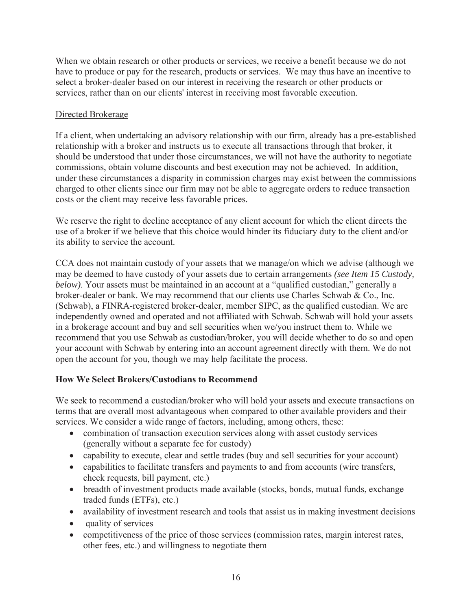When we obtain research or other products or services, we receive a benefit because we do not have to produce or pay for the research, products or services. We may thus have an incentive to select a broker-dealer based on our interest in receiving the research or other products or services, rather than on our clients' interest in receiving most favorable execution.

# Directed Brokerage

If a client, when undertaking an advisory relationship with our firm, already has a pre-established relationship with a broker and instructs us to execute all transactions through that broker, it should be understood that under those circumstances, we will not have the authority to negotiate commissions, obtain volume discounts and best execution may not be achieved. In addition, under these circumstances a disparity in commission charges may exist between the commissions charged to other clients since our firm may not be able to aggregate orders to reduce transaction costs or the client may receive less favorable prices.

We reserve the right to decline acceptance of any client account for which the client directs the use of a broker if we believe that this choice would hinder its fiduciary duty to the client and/or its ability to service the account.

CCA does not maintain custody of your assets that we manage/on which we advise (although we may be deemed to have custody of your assets due to certain arrangements *(see Item 15 Custody, below)*. Your assets must be maintained in an account at a "qualified custodian," generally a broker-dealer or bank. We may recommend that our clients use Charles Schwab & Co., Inc. (Schwab), a FINRA-registered broker-dealer, member SIPC, as the qualified custodian. We are independently owned and operated and not affiliated with Schwab. Schwab will hold your assets in a brokerage account and buy and sell securities when we/you instruct them to. While we recommend that you use Schwab as custodian/broker, you will decide whether to do so and open your account with Schwab by entering into an account agreement directly with them. We do not open the account for you, though we may help facilitate the process.

# **How We Select Brokers/Custodians to Recommend**

We seek to recommend a custodian/broker who will hold your assets and execute transactions on terms that are overall most advantageous when compared to other available providers and their services. We consider a wide range of factors, including, among others, these:

- combination of transaction execution services along with asset custody services (generally without a separate fee for custody)
- capability to execute, clear and settle trades (buy and sell securities for your account)
- capabilities to facilitate transfers and payments to and from accounts (wire transfers, check requests, bill payment, etc.)
- breadth of investment products made available (stocks, bonds, mutual funds, exchange traded funds (ETFs), etc.)
- availability of investment research and tools that assist us in making investment decisions
- $\bullet$  quality of services
- competitiveness of the price of those services (commission rates, margin interest rates, other fees, etc.) and willingness to negotiate them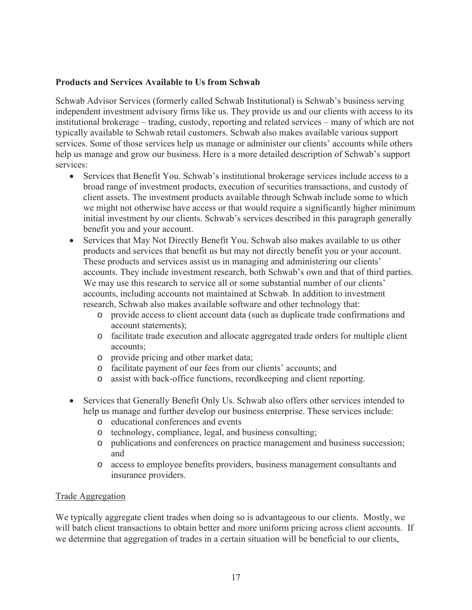### **Products and Services Available to Us from Schwab**

Schwab Advisor Services (formerly called Schwab Institutional) is Schwab's business serving independent investment advisory firms like us. They provide us and our clients with access to its institutional brokerage – trading, custody, reporting and related services – many of which are not typically available to Schwab retail customers. Schwab also makes available various support services. Some of those services help us manage or administer our clients' accounts while others help us manage and grow our business. Here is a more detailed description of Schwab's support services:

- Services that Benefit You. Schwab's institutional brokerage services include access to a broad range of investment products, execution of securities transactions, and custody of client assets. The investment products available through Schwab include some to which we might not otherwise have access or that would require a significantly higher minimum initial investment by our clients. Schwab's services described in this paragraph generally benefit you and your account.
- Services that May Not Directly Benefit You. Schwab also makes available to us other products and services that benefit us but may not directly benefit you or your account. These products and services assist us in managing and administering our clients' accounts. They include investment research, both Schwab's own and that of third parties. We may use this research to service all or some substantial number of our clients' accounts, including accounts not maintained at Schwab. In addition to investment research, Schwab also makes available software and other technology that:
	- o provide access to client account data (such as duplicate trade confirmations and account statements);
	- o facilitate trade execution and allocate aggregated trade orders for multiple client accounts;
	- o provide pricing and other market data;
	- o facilitate payment of our fees from our clients' accounts; and
	- o assist with back-office functions, recordkeeping and client reporting.
- Services that Generally Benefit Only Us. Schwab also offers other services intended to help us manage and further develop our business enterprise. These services include:
	- o educational conferences and events
	- o technology, compliance, legal, and business consulting;
	- o publications and conferences on practice management and business succession; and
	- o access to employee benefits providers, business management consultants and insurance providers.

#### Trade Aggregation

We typically aggregate client trades when doing so is advantageous to our clients. Mostly, we will batch client transactions to obtain better and more uniform pricing across client accounts. If we determine that aggregation of trades in a certain situation will be beneficial to our clients,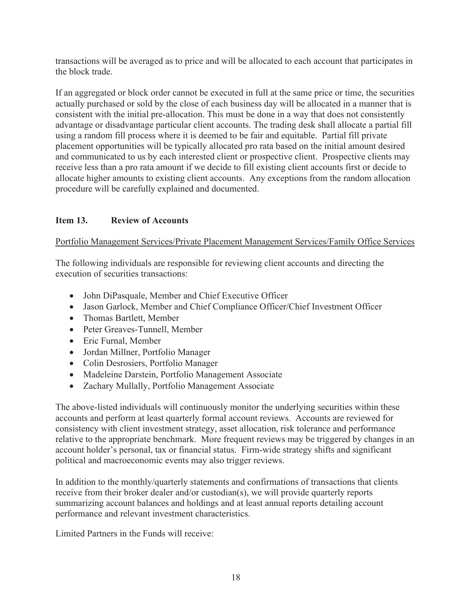transactions will be averaged as to price and will be allocated to each account that participates in the block trade.

If an aggregated or block order cannot be executed in full at the same price or time, the securities actually purchased or sold by the close of each business day will be allocated in a manner that is consistent with the initial pre-allocation. This must be done in a way that does not consistently advantage or disadvantage particular client accounts. The trading desk shall allocate a partial fill using a random fill process where it is deemed to be fair and equitable. Partial fill private placement opportunities will be typically allocated pro rata based on the initial amount desired and communicated to us by each interested client or prospective client. Prospective clients may receive less than a pro rata amount if we decide to fill existing client accounts first or decide to allocate higher amounts to existing client accounts. Any exceptions from the random allocation procedure will be carefully explained and documented.

# **Item 13. Review of Accounts**

Portfolio Management Services/Private Placement Management Services/Family Office Services

The following individuals are responsible for reviewing client accounts and directing the execution of securities transactions:

- John DiPasquale, Member and Chief Executive Officer
- Jason Garlock, Member and Chief Compliance Officer/Chief Investment Officer
- Thomas Bartlett, Member
- Peter Greaves-Tunnell, Member
- Eric Furnal, Member
- Jordan Millner, Portfolio Manager
- Colin Desrosiers, Portfolio Manager
- Madeleine Darstein, Portfolio Management Associate
- Zachary Mullally, Portfolio Management Associate

The above-listed individuals will continuously monitor the underlying securities within these accounts and perform at least quarterly formal account reviews. Accounts are reviewed for consistency with client investment strategy, asset allocation, risk tolerance and performance relative to the appropriate benchmark. More frequent reviews may be triggered by changes in an account holder's personal, tax or financial status. Firm-wide strategy shifts and significant political and macroeconomic events may also trigger reviews.

In addition to the monthly/quarterly statements and confirmations of transactions that clients receive from their broker dealer and/or custodian(s), we will provide quarterly reports summarizing account balances and holdings and at least annual reports detailing account performance and relevant investment characteristics.

Limited Partners in the Funds will receive: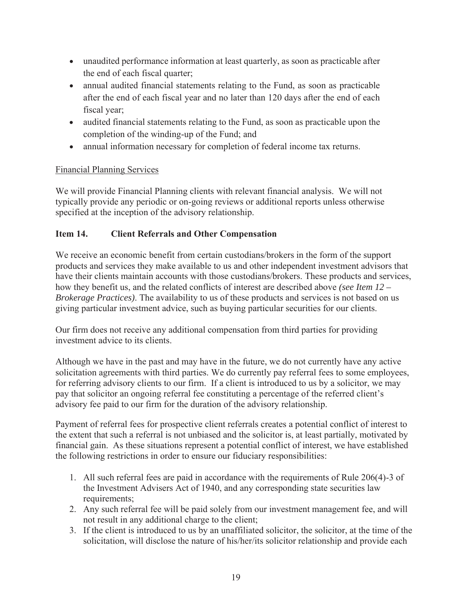- unaudited performance information at least quarterly, as soon as practicable after the end of each fiscal quarter;
- annual audited financial statements relating to the Fund, as soon as practicable after the end of each fiscal year and no later than 120 days after the end of each fiscal year;
- audited financial statements relating to the Fund, as soon as practicable upon the completion of the winding-up of the Fund; and
- annual information necessary for completion of federal income tax returns.

# Financial Planning Services

We will provide Financial Planning clients with relevant financial analysis. We will not typically provide any periodic or on-going reviews or additional reports unless otherwise specified at the inception of the advisory relationship.

# **Item 14. Client Referrals and Other Compensation**

We receive an economic benefit from certain custodians/brokers in the form of the support products and services they make available to us and other independent investment advisors that have their clients maintain accounts with those custodians/brokers. These products and services, how they benefit us, and the related conflicts of interest are described above *(see Item 12 – Brokerage Practices)*. The availability to us of these products and services is not based on us giving particular investment advice, such as buying particular securities for our clients.

Our firm does not receive any additional compensation from third parties for providing investment advice to its clients.

Although we have in the past and may have in the future, we do not currently have any active solicitation agreements with third parties. We do currently pay referral fees to some employees, for referring advisory clients to our firm. If a client is introduced to us by a solicitor, we may pay that solicitor an ongoing referral fee constituting a percentage of the referred client's advisory fee paid to our firm for the duration of the advisory relationship.

Payment of referral fees for prospective client referrals creates a potential conflict of interest to the extent that such a referral is not unbiased and the solicitor is, at least partially, motivated by financial gain. As these situations represent a potential conflict of interest, we have established the following restrictions in order to ensure our fiduciary responsibilities:

- 1. All such referral fees are paid in accordance with the requirements of Rule 206(4)-3 of the Investment Advisers Act of 1940, and any corresponding state securities law requirements;
- 2. Any such referral fee will be paid solely from our investment management fee, and will not result in any additional charge to the client;
- 3. If the client is introduced to us by an unaffiliated solicitor, the solicitor, at the time of the solicitation, will disclose the nature of his/her/its solicitor relationship and provide each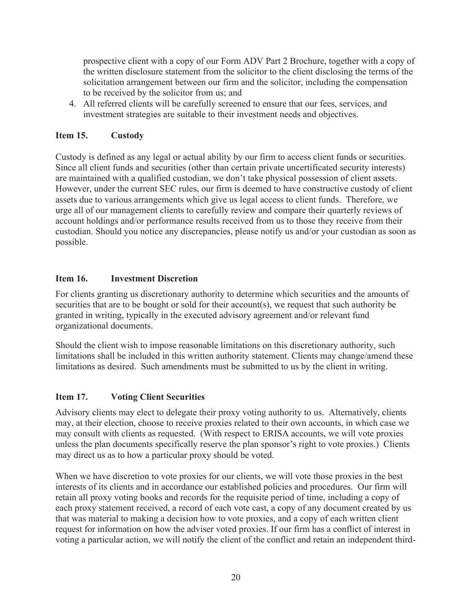prospective client with a copy of our Form ADV Part 2 Brochure, together with a copy of the written disclosure statement from the solicitor to the client disclosing the terms of the solicitation arrangement between our firm and the solicitor, including the compensation to be received by the solicitor from us; and

4. All referred clients will be carefully screened to ensure that our fees, services, and investment strategies are suitable to their investment needs and objectives.

# **Item 15. Custody**

Custody is defined as any legal or actual ability by our firm to access client funds or securities. Since all client funds and securities (other than certain private uncertificated security interests) are maintained with a qualified custodian, we don't take physical possession of client assets. However, under the current SEC rules, our firm is deemed to have constructive custody of client assets due to various arrangements which give us legal access to client funds. Therefore, we urge all of our management clients to carefully review and compare their quarterly reviews of account holdings and/or performance results received from us to those they receive from their custodian. Should you notice any discrepancies, please notify us and/or your custodian as soon as possible.

# **Item 16. Investment Discretion**

For clients granting us discretionary authority to determine which securities and the amounts of securities that are to be bought or sold for their account(s), we request that such authority be granted in writing, typically in the executed advisory agreement and/or relevant fund organizational documents.

Should the client wish to impose reasonable limitations on this discretionary authority, such limitations shall be included in this written authority statement. Clients may change/amend these limitations as desired. Such amendments must be submitted to us by the client in writing.

## **Item 17. Voting Client Securities**

Advisory clients may elect to delegate their proxy voting authority to us. Alternatively, clients may, at their election, choose to receive proxies related to their own accounts, in which case we may consult with clients as requested. (With respect to ERISA accounts, we will vote proxies unless the plan documents specifically reserve the plan sponsor's right to vote proxies.) Clients may direct us as to how a particular proxy should be voted.

When we have discretion to vote proxies for our clients, we will vote those proxies in the best interests of its clients and in accordance our established policies and procedures. Our firm will retain all proxy voting books and records for the requisite period of time, including a copy of each proxy statement received, a record of each vote cast, a copy of any document created by us that was material to making a decision how to vote proxies, and a copy of each written client request for information on how the adviser voted proxies. If our firm has a conflict of interest in voting a particular action, we will notify the client of the conflict and retain an independent third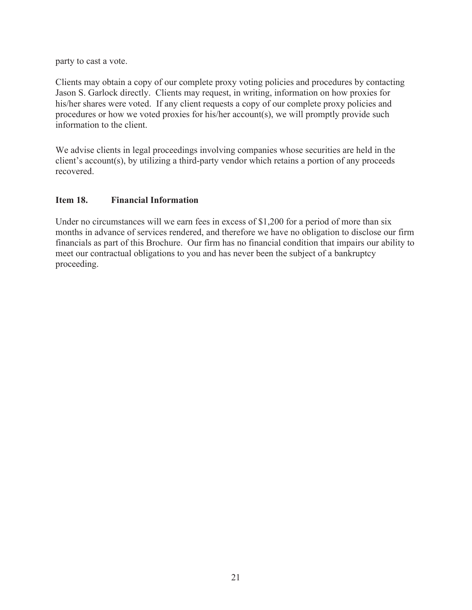party to cast a vote.

Clients may obtain a copy of our complete proxy voting policies and procedures by contacting Jason S. Garlock directly. Clients may request, in writing, information on how proxies for his/her shares were voted. If any client requests a copy of our complete proxy policies and procedures or how we voted proxies for his/her account(s), we will promptly provide such information to the client.

We advise clients in legal proceedings involving companies whose securities are held in the client's account(s), by utilizing a third-party vendor which retains a portion of any proceeds recovered.

## **Item 18. Financial Information**

Under no circumstances will we earn fees in excess of \$1,200 for a period of more than six months in advance of services rendered, and therefore we have no obligation to disclose our firm financials as part of this Brochure. Our firm has no financial condition that impairs our ability to meet our contractual obligations to you and has never been the subject of a bankruptcy proceeding.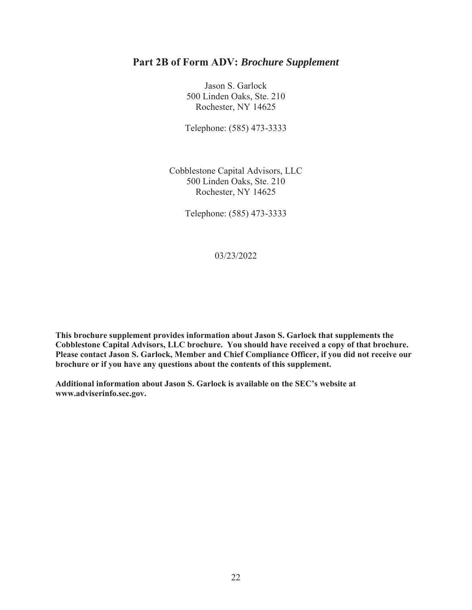Jason S. Garlock 500 Linden Oaks, Ste. 210 Rochester, NY 14625

Telephone: (585) 473-3333

Cobblestone Capital Advisors, LLC 500 Linden Oaks, Ste. 210 Rochester, NY 14625

Telephone: (585) 473-3333

03/23/2022

**This brochure supplement provides information about Jason S. Garlock that supplements the Cobblestone Capital Advisors, LLC brochure. You should have received a copy of that brochure. Please contact Jason S. Garlock, Member and Chief Compliance Officer, if you did not receive our brochure or if you have any questions about the contents of this supplement.** 

**Additional information about Jason S. Garlock is available on the SEC's website at www.adviserinfo.sec.gov.**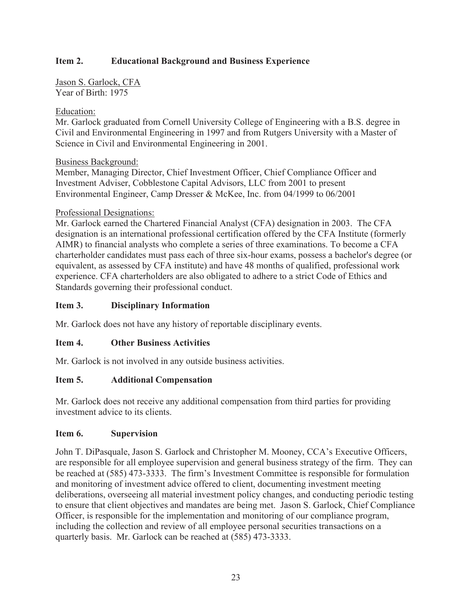Jason S. Garlock, CFA Year of Birth: 1975

## Education:

Mr. Garlock graduated from Cornell University College of Engineering with a B.S. degree in Civil and Environmental Engineering in 1997 and from Rutgers University with a Master of Science in Civil and Environmental Engineering in 2001.

## Business Background:

Member, Managing Director, Chief Investment Officer, Chief Compliance Officer and Investment Adviser, Cobblestone Capital Advisors, LLC from 2001 to present Environmental Engineer, Camp Dresser & McKee, Inc. from 04/1999 to 06/2001

## Professional Designations:

Mr. Garlock earned the Chartered Financial Analyst (CFA) designation in 2003. The CFA designation is an international professional certification offered by the CFA Institute (formerly AIMR) to financial analysts who complete a series of three examinations. To become a CFA charterholder candidates must pass each of three six-hour exams, possess a bachelor's degree (or equivalent, as assessed by CFA institute) and have 48 months of qualified, professional work experience. CFA charterholders are also obligated to adhere to a strict Code of Ethics and Standards governing their professional conduct.

## **Item 3. Disciplinary Information**

Mr. Garlock does not have any history of reportable disciplinary events.

## **Item 4. Other Business Activities**

Mr. Garlock is not involved in any outside business activities.

## **Item 5. Additional Compensation**

Mr. Garlock does not receive any additional compensation from third parties for providing investment advice to its clients.

#### **Item 6. Supervision**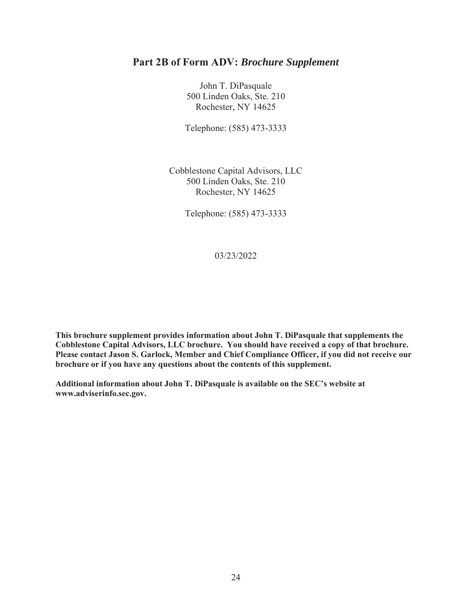John T. DiPasquale 500 Linden Oaks, Ste. 210 Rochester, NY 14625

Telephone: (585) 473-3333

Cobblestone Capital Advisors, LLC 500 Linden Oaks, Ste. 210 Rochester, NY 14625

Telephone: (585) 473-3333

03/23/2022

**This brochure supplement provides information about John T. DiPasquale that supplements the Cobblestone Capital Advisors, LLC brochure. You should have received a copy of that brochure. Please contact Jason S. Garlock, Member and Chief Compliance Officer, if you did not receive our brochure or if you have any questions about the contents of this supplement.** 

**Additional information about John T. DiPasquale is available on the SEC's website at www.adviserinfo.sec.gov.**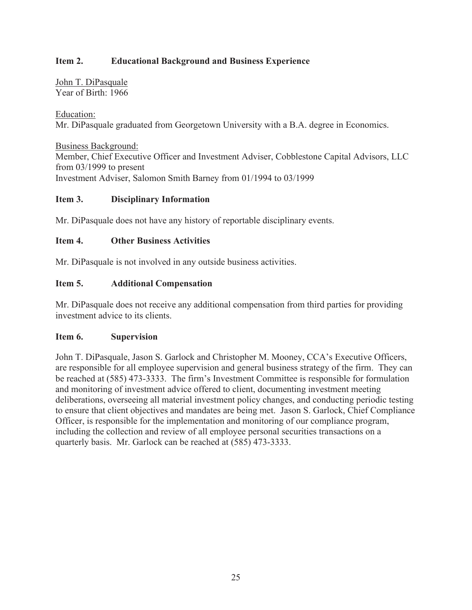John T. DiPasquale Year of Birth: 1966

Education: Mr. DiPasquale graduated from Georgetown University with a B.A. degree in Economics.

Business Background: Member, Chief Executive Officer and Investment Adviser, Cobblestone Capital Advisors, LLC from 03/1999 to present Investment Adviser, Salomon Smith Barney from 01/1994 to 03/1999

## **Item 3. Disciplinary Information**

Mr. DiPasquale does not have any history of reportable disciplinary events.

## **Item 4. Other Business Activities**

Mr. DiPasquale is not involved in any outside business activities.

## **Item 5. Additional Compensation**

Mr. DiPasquale does not receive any additional compensation from third parties for providing investment advice to its clients.

#### **Item 6. Supervision**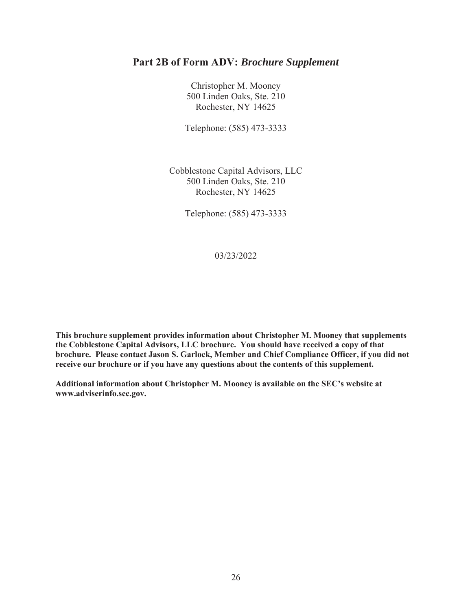Christopher M. Mooney 500 Linden Oaks, Ste. 210 Rochester, NY 14625

Telephone: (585) 473-3333

Cobblestone Capital Advisors, LLC 500 Linden Oaks, Ste. 210 Rochester, NY 14625

Telephone: (585) 473-3333

03/23/2022

**This brochure supplement provides information about Christopher M. Mooney that supplements the Cobblestone Capital Advisors, LLC brochure. You should have received a copy of that brochure. Please contact Jason S. Garlock, Member and Chief Compliance Officer, if you did not receive our brochure or if you have any questions about the contents of this supplement.** 

**Additional information about Christopher M. Mooney is available on the SEC's website at www.adviserinfo.sec.gov.**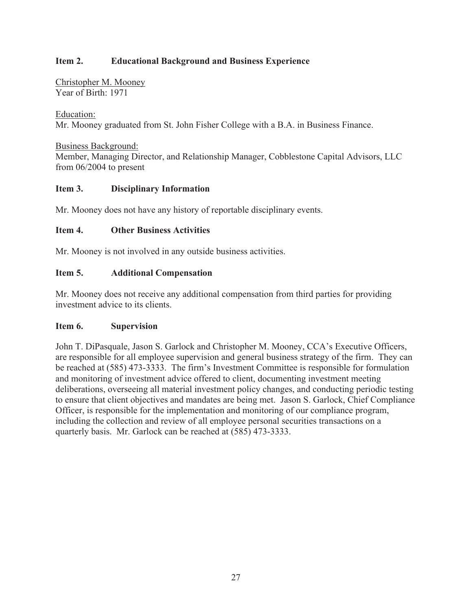Christopher M. Mooney Year of Birth: 1971

Education: Mr. Mooney graduated from St. John Fisher College with a B.A. in Business Finance.

Business Background: Member, Managing Director, and Relationship Manager, Cobblestone Capital Advisors, LLC from 06/2004 to present

## **Item 3. Disciplinary Information**

Mr. Mooney does not have any history of reportable disciplinary events.

#### **Item 4. Other Business Activities**

Mr. Mooney is not involved in any outside business activities.

## **Item 5. Additional Compensation**

Mr. Mooney does not receive any additional compensation from third parties for providing investment advice to its clients.

#### **Item 6. Supervision**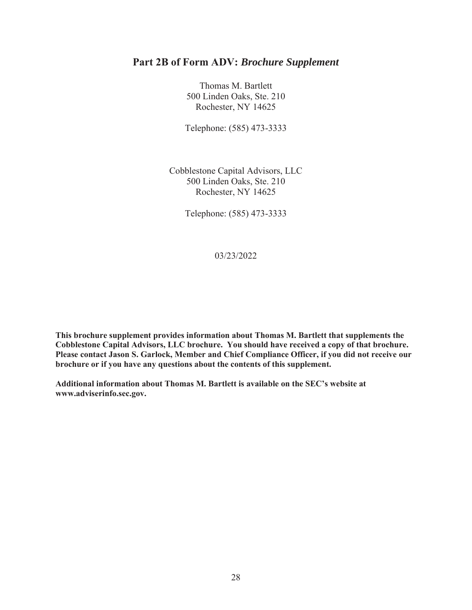Thomas M. Bartlett 500 Linden Oaks, Ste. 210 Rochester, NY 14625

Telephone: (585) 473-3333

Cobblestone Capital Advisors, LLC 500 Linden Oaks, Ste. 210 Rochester, NY 14625

Telephone: (585) 473-3333

03/23/2022

**This brochure supplement provides information about Thomas M. Bartlett that supplements the Cobblestone Capital Advisors, LLC brochure. You should have received a copy of that brochure. Please contact Jason S. Garlock, Member and Chief Compliance Officer, if you did not receive our brochure or if you have any questions about the contents of this supplement.** 

**Additional information about Thomas M. Bartlett is available on the SEC's website at www.adviserinfo.sec.gov.**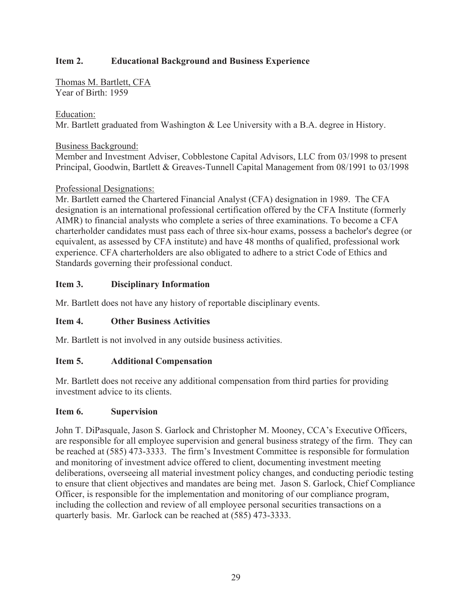Thomas M. Bartlett, CFA Year of Birth: 1959

## Education:

Mr. Bartlett graduated from Washington & Lee University with a B.A. degree in History.

## Business Background:

Member and Investment Adviser, Cobblestone Capital Advisors, LLC from 03/1998 to present Principal, Goodwin, Bartlett & Greaves-Tunnell Capital Management from 08/1991 to 03/1998

## Professional Designations:

Mr. Bartlett earned the Chartered Financial Analyst (CFA) designation in 1989. The CFA designation is an international professional certification offered by the CFA Institute (formerly AIMR) to financial analysts who complete a series of three examinations. To become a CFA charterholder candidates must pass each of three six-hour exams, possess a bachelor's degree (or equivalent, as assessed by CFA institute) and have 48 months of qualified, professional work experience. CFA charterholders are also obligated to adhere to a strict Code of Ethics and Standards governing their professional conduct.

## **Item 3. Disciplinary Information**

Mr. Bartlett does not have any history of reportable disciplinary events.

## **Item 4. Other Business Activities**

Mr. Bartlett is not involved in any outside business activities.

#### **Item 5. Additional Compensation**

Mr. Bartlett does not receive any additional compensation from third parties for providing investment advice to its clients.

#### **Item 6. Supervision**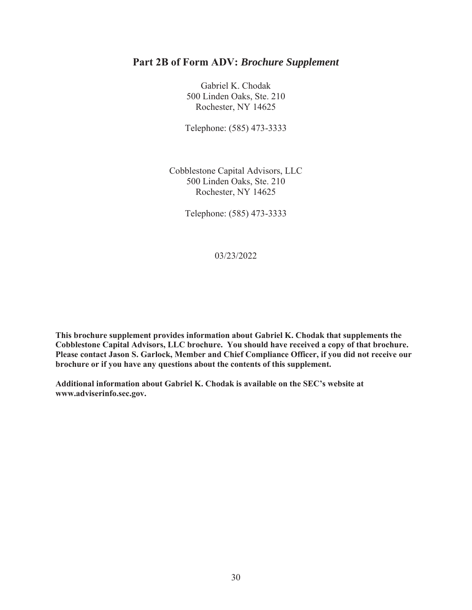Gabriel K. Chodak 500 Linden Oaks, Ste. 210 Rochester, NY 14625

Telephone: (585) 473-3333

Cobblestone Capital Advisors, LLC 500 Linden Oaks, Ste. 210 Rochester, NY 14625

Telephone: (585) 473-3333

03/23/2022

**This brochure supplement provides information about Gabriel K. Chodak that supplements the Cobblestone Capital Advisors, LLC brochure. You should have received a copy of that brochure. Please contact Jason S. Garlock, Member and Chief Compliance Officer, if you did not receive our brochure or if you have any questions about the contents of this supplement.** 

**Additional information about Gabriel K. Chodak is available on the SEC's website at www.adviserinfo.sec.gov.**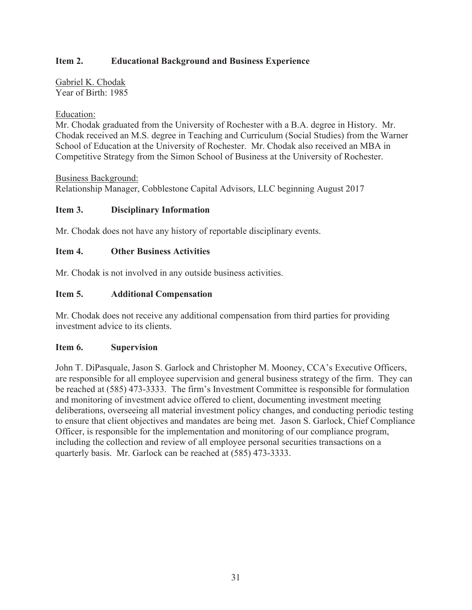Gabriel K. Chodak Year of Birth: 1985

## Education:

Mr. Chodak graduated from the University of Rochester with a B.A. degree in History. Mr. Chodak received an M.S. degree in Teaching and Curriculum (Social Studies) from the Warner School of Education at the University of Rochester. Mr. Chodak also received an MBA in Competitive Strategy from the Simon School of Business at the University of Rochester.

#### Business Background:

Relationship Manager, Cobblestone Capital Advisors, LLC beginning August 2017

## **Item 3. Disciplinary Information**

Mr. Chodak does not have any history of reportable disciplinary events.

#### **Item 4. Other Business Activities**

Mr. Chodak is not involved in any outside business activities.

## **Item 5. Additional Compensation**

Mr. Chodak does not receive any additional compensation from third parties for providing investment advice to its clients.

#### **Item 6. Supervision**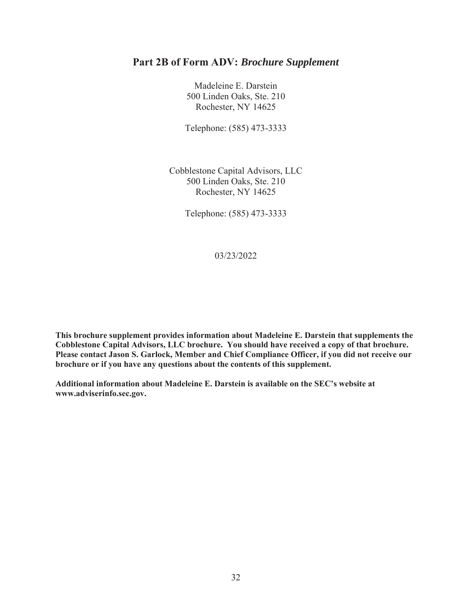Madeleine E. Darstein 500 Linden Oaks, Ste. 210 Rochester, NY 14625

Telephone: (585) 473-3333

Cobblestone Capital Advisors, LLC 500 Linden Oaks, Ste. 210 Rochester, NY 14625

Telephone: (585) 473-3333

03/23/2022

**This brochure supplement provides information about Madeleine E. Darstein that supplements the Cobblestone Capital Advisors, LLC brochure. You should have received a copy of that brochure. Please contact Jason S. Garlock, Member and Chief Compliance Officer, if you did not receive our brochure or if you have any questions about the contents of this supplement.** 

**Additional information about Madeleine E. Darstein is available on the SEC's website at www.adviserinfo.sec.gov.**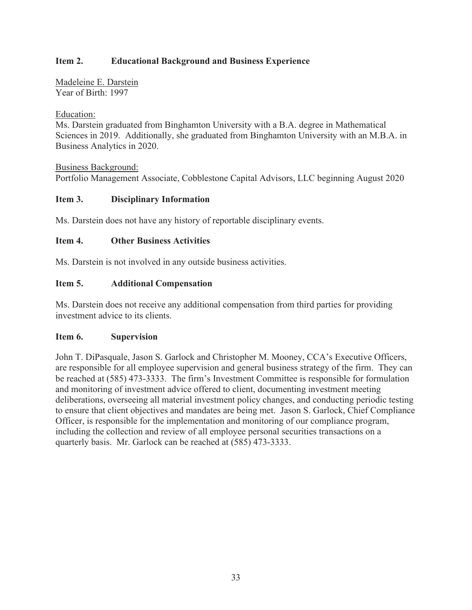Madeleine E. Darstein Year of Birth: 1997

## Education:

Ms. Darstein graduated from Binghamton University with a B.A. degree in Mathematical Sciences in 2019. Additionally, she graduated from Binghamton University with an M.B.A. in Business Analytics in 2020.

Business Background: Portfolio Management Associate, Cobblestone Capital Advisors, LLC beginning August 2020

## **Item 3. Disciplinary Information**

Ms. Darstein does not have any history of reportable disciplinary events.

## **Item 4. Other Business Activities**

Ms. Darstein is not involved in any outside business activities.

## **Item 5. Additional Compensation**

Ms. Darstein does not receive any additional compensation from third parties for providing investment advice to its clients.

#### **Item 6. Supervision**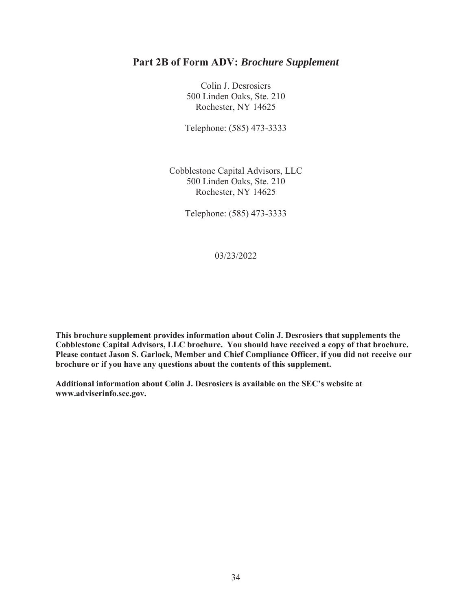Colin J. Desrosiers 500 Linden Oaks, Ste. 210 Rochester, NY 14625

Telephone: (585) 473-3333

Cobblestone Capital Advisors, LLC 500 Linden Oaks, Ste. 210 Rochester, NY 14625

Telephone: (585) 473-3333

03/23/2022

**This brochure supplement provides information about Colin J. Desrosiers that supplements the Cobblestone Capital Advisors, LLC brochure. You should have received a copy of that brochure. Please contact Jason S. Garlock, Member and Chief Compliance Officer, if you did not receive our brochure or if you have any questions about the contents of this supplement.** 

**Additional information about Colin J. Desrosiers is available on the SEC's website at www.adviserinfo.sec.gov.**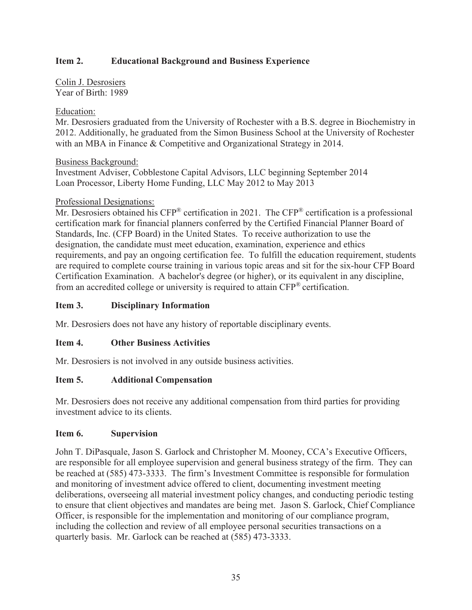Colin J. Desrosiers Year of Birth: 1989

## Education:

Mr. Desrosiers graduated from the University of Rochester with a B.S. degree in Biochemistry in 2012. Additionally, he graduated from the Simon Business School at the University of Rochester with an MBA in Finance & Competitive and Organizational Strategy in 2014.

Business Background:

Investment Adviser, Cobblestone Capital Advisors, LLC beginning September 2014 Loan Processor, Liberty Home Funding, LLC May 2012 to May 2013

## Professional Designations:

Mr. Desrosiers obtained his CFP<sup>®</sup> certification in 2021. The CFP<sup>®</sup> certification is a professional certification mark for financial planners conferred by the Certified Financial Planner Board of Standards, Inc. (CFP Board) in the United States. To receive authorization to use the designation, the candidate must meet education, examination, experience and ethics requirements, and pay an ongoing certification fee. To fulfill the education requirement, students are required to complete course training in various topic areas and sit for the six-hour CFP Board Certification Examination. A bachelor's degree (or higher), or its equivalent in any discipline, from an accredited college or university is required to attain CFP® certification.

## **Item 3. Disciplinary Information**

Mr. Desrosiers does not have any history of reportable disciplinary events.

## **Item 4. Other Business Activities**

Mr. Desrosiers is not involved in any outside business activities.

#### **Item 5. Additional Compensation**

Mr. Desrosiers does not receive any additional compensation from third parties for providing investment advice to its clients.

#### **Item 6. Supervision**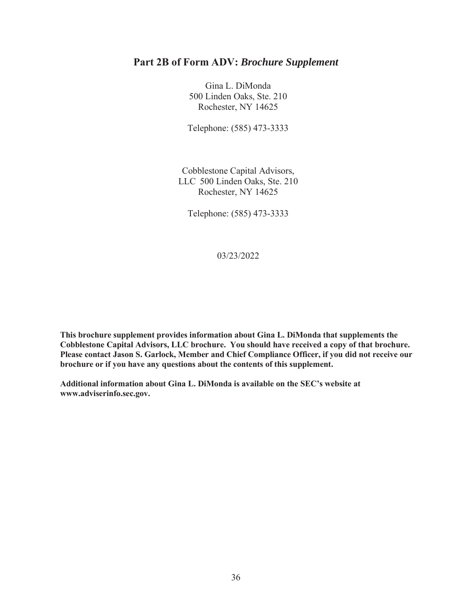Gina L. DiMonda 500 Linden Oaks, Ste. 210 Rochester, NY 14625

Telephone: (585) 473-3333

Cobblestone Capital Advisors, LLC 500 Linden Oaks, Ste. 210 Rochester, NY 14625

Telephone: (585) 473-3333

03/23/2022

**This brochure supplement provides information about Gina L. DiMonda that supplements the Cobblestone Capital Advisors, LLC brochure. You should have received a copy of that brochure. Please contact Jason S. Garlock, Member and Chief Compliance Officer, if you did not receive our brochure or if you have any questions about the contents of this supplement.**

**Additional information about Gina L. DiMonda is available on the SEC's website at www.adviserinfo.sec.gov.**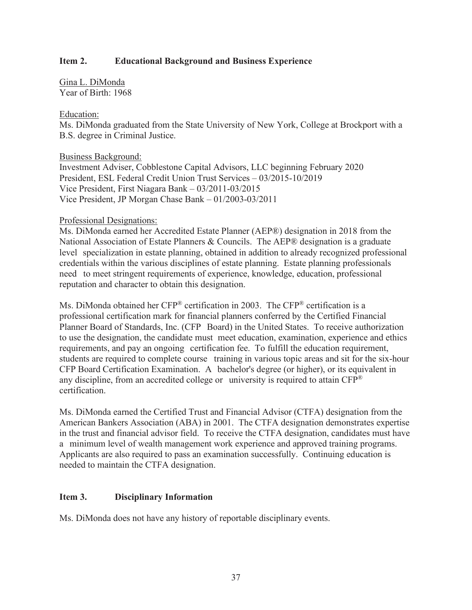Gina L. DiMonda Year of Birth: 1968

#### Education:

Ms. DiMonda graduated from the State University of New York, College at Brockport with a B.S. degree in Criminal Justice.

#### Business Background:

Investment Adviser, Cobblestone Capital Advisors, LLC beginning February 2020 President, ESL Federal Credit Union Trust Services – 03/2015-10/2019 Vice President, First Niagara Bank – 03/2011-03/2015 Vice President, JP Morgan Chase Bank – 01/2003-03/2011

#### Professional Designations:

Ms. DiMonda earned her Accredited Estate Planner (AEP®) designation in 2018 from the National Association of Estate Planners & Councils. The AEP® designation is a graduate level specialization in estate planning, obtained in addition to already recognized professional credentials within the various disciplines of estate planning. Estate planning professionals need to meet stringent requirements of experience, knowledge, education, professional reputation and character to obtain this designation.

Ms. DiMonda obtained her CFP<sup>®</sup> certification in 2003. The CFP<sup>®</sup> certification is a professional certification mark for financial planners conferred by the Certified Financial Planner Board of Standards, Inc. (CFP Board) in the United States. To receive authorization to use the designation, the candidate must meet education, examination, experience and ethics requirements, and pay an ongoing certification fee. To fulfill the education requirement, students are required to complete course training in various topic areas and sit for the six-hour CFP Board Certification Examination. A bachelor's degree (or higher), or its equivalent in any discipline, from an accredited college or university is required to attain  $CFP^*$ certification.

Ms. DiMonda earned the Certified Trust and Financial Advisor (CTFA) designation from the American Bankers Association (ABA) in 2001. The CTFA designation demonstrates expertise in the trust and financial advisor field. To receive the CTFA designation, candidates must have a minimum level of wealth management work experience and approved training programs. Applicants are also required to pass an examination successfully. Continuing education is needed to maintain the CTFA designation.

#### **Item 3. Disciplinary Information**

Ms. DiMonda does not have any history of reportable disciplinary events.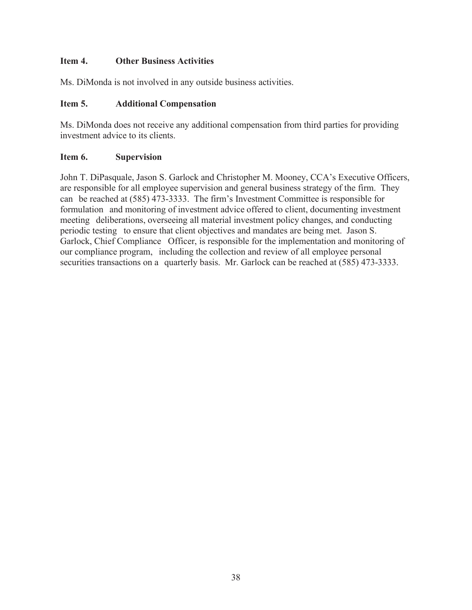## **Item 4. Other Business Activities**

Ms. DiMonda is not involved in any outside business activities.

# **Item 5. Additional Compensation**

Ms. DiMonda does not receive any additional compensation from third parties for providing investment advice to its clients.

# **Item 6. Supervision**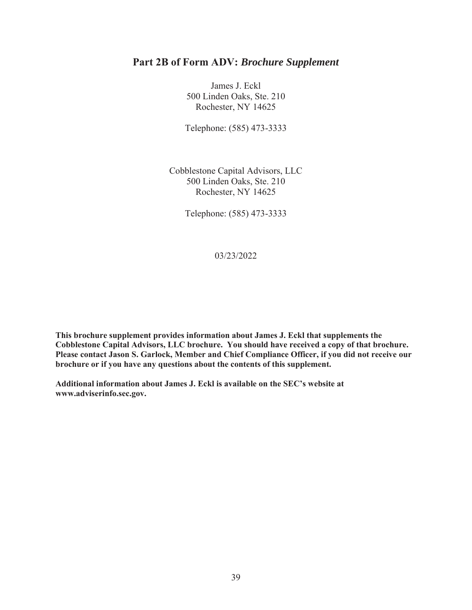James J. Eckl 500 Linden Oaks, Ste. 210 Rochester, NY 14625

Telephone: (585) 473-3333

Cobblestone Capital Advisors, LLC 500 Linden Oaks, Ste. 210 Rochester, NY 14625

Telephone: (585) 473-3333

03/23/2022

**This brochure supplement provides information about James J. Eckl that supplements the Cobblestone Capital Advisors, LLC brochure. You should have received a copy of that brochure. Please contact Jason S. Garlock, Member and Chief Compliance Officer, if you did not receive our brochure or if you have any questions about the contents of this supplement.** 

**Additional information about James J. Eckl is available on the SEC's website at www.adviserinfo.sec.gov.**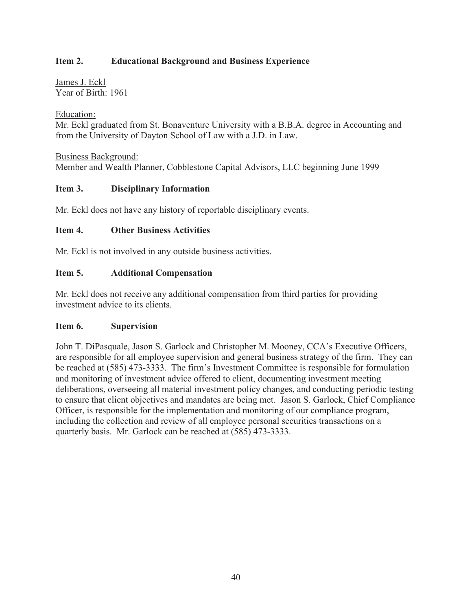James J. Eckl Year of Birth: 1961

Education:

Mr. Eckl graduated from St. Bonaventure University with a B.B.A. degree in Accounting and from the University of Dayton School of Law with a J.D. in Law.

Business Background: Member and Wealth Planner, Cobblestone Capital Advisors, LLC beginning June 1999

## **Item 3. Disciplinary Information**

Mr. Eckl does not have any history of reportable disciplinary events.

## **Item 4. Other Business Activities**

Mr. Eckl is not involved in any outside business activities.

## **Item 5. Additional Compensation**

Mr. Eckl does not receive any additional compensation from third parties for providing investment advice to its clients.

#### **Item 6. Supervision**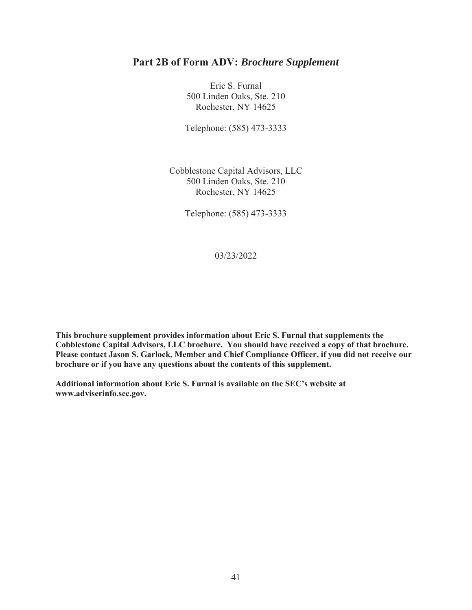Eric S. Furnal 500 Linden Oaks, Ste. 210 Rochester, NY 14625

Telephone: (585) 473-3333

Cobblestone Capital Advisors, LLC 500 Linden Oaks, Ste. 210 Rochester, NY 14625

Telephone: (585) 473-3333

03/23/2022

**This brochure supplement provides information about Eric S. Furnal that supplements the Cobblestone Capital Advisors, LLC brochure. You should have received a copy of that brochure. Please contact Jason S. Garlock, Member and Chief Compliance Officer, if you did not receive our brochure or if you have any questions about the contents of this supplement.** 

**Additional information about Eric S. Furnal is available on the SEC's website at www.adviserinfo.sec.gov.**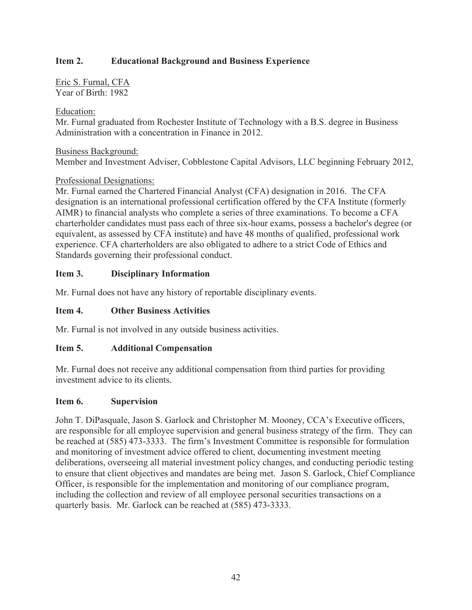Eric S. Furnal, CFA Year of Birth: 1982

#### Education:

Mr. Furnal graduated from Rochester Institute of Technology with a B.S. degree in Business Administration with a concentration in Finance in 2012.

#### Business Background:

Member and Investment Adviser, Cobblestone Capital Advisors, LLC beginning February 2012,

## Professional Designations:

Mr. Furnal earned the Chartered Financial Analyst (CFA) designation in 2016. The CFA designation is an international professional certification offered by the CFA Institute (formerly AIMR) to financial analysts who complete a series of three examinations. To become a CFA charterholder candidates must pass each of three six-hour exams, possess a bachelor's degree (or equivalent, as assessed by CFA institute) and have 48 months of qualified, professional work experience. CFA charterholders are also obligated to adhere to a strict Code of Ethics and Standards governing their professional conduct.

## **Item 3. Disciplinary Information**

Mr. Furnal does not have any history of reportable disciplinary events.

## **Item 4. Other Business Activities**

Mr. Furnal is not involved in any outside business activities.

## **Item 5. Additional Compensation**

Mr. Furnal does not receive any additional compensation from third parties for providing investment advice to its clients.

#### **Item 6. Supervision**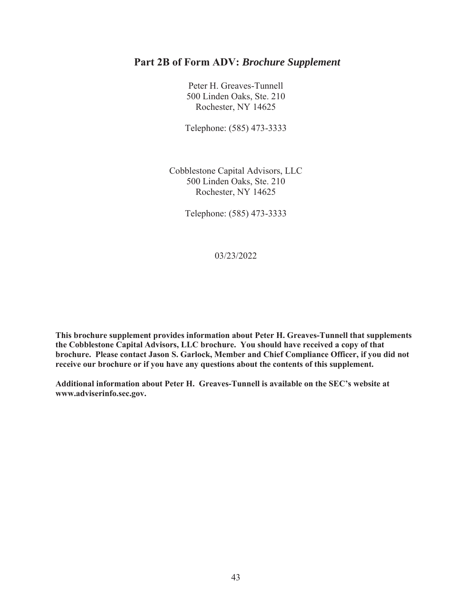Peter H. Greaves-Tunnell 500 Linden Oaks, Ste. 210 Rochester, NY 14625

Telephone: (585) 473-3333

Cobblestone Capital Advisors, LLC 500 Linden Oaks, Ste. 210 Rochester, NY 14625

Telephone: (585) 473-3333

03/23/2022

**This brochure supplement provides information about Peter H. Greaves-Tunnell that supplements the Cobblestone Capital Advisors, LLC brochure. You should have received a copy of that brochure. Please contact Jason S. Garlock, Member and Chief Compliance Officer, if you did not receive our brochure or if you have any questions about the contents of this supplement.** 

**Additional information about Peter H. Greaves-Tunnell is available on the SEC's website at www.adviserinfo.sec.gov.**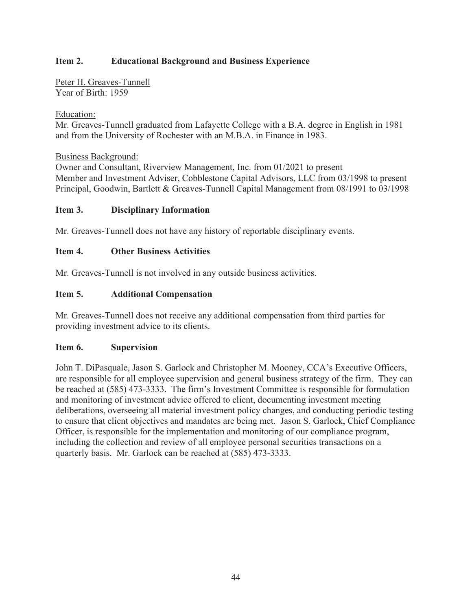Peter H. Greaves-Tunnell Year of Birth: 1959

## Education:

Mr. Greaves-Tunnell graduated from Lafayette College with a B.A. degree in English in 1981 and from the University of Rochester with an M.B.A. in Finance in 1983.

## Business Background:

Owner and Consultant, Riverview Management, Inc. from 01/2021 to present Member and Investment Adviser, Cobblestone Capital Advisors, LLC from 03/1998 to present Principal, Goodwin, Bartlett & Greaves-Tunnell Capital Management from 08/1991 to 03/1998

## **Item 3. Disciplinary Information**

Mr. Greaves-Tunnell does not have any history of reportable disciplinary events.

## **Item 4. Other Business Activities**

Mr. Greaves-Tunnell is not involved in any outside business activities.

## **Item 5. Additional Compensation**

Mr. Greaves-Tunnell does not receive any additional compensation from third parties for providing investment advice to its clients.

#### **Item 6. Supervision**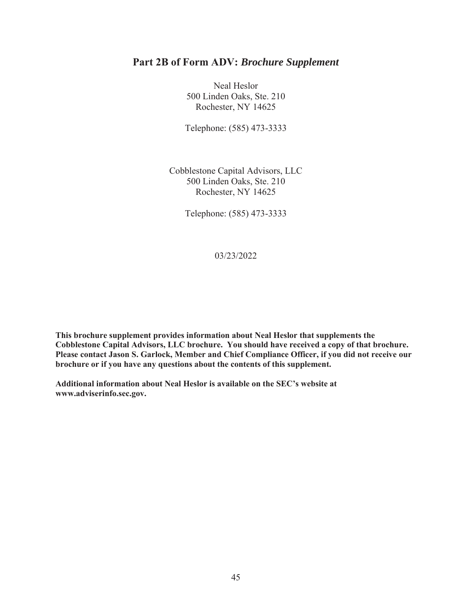Neal Heslor 500 Linden Oaks, Ste. 210 Rochester, NY 14625

Telephone: (585) 473-3333

Cobblestone Capital Advisors, LLC 500 Linden Oaks, Ste. 210 Rochester, NY 14625

Telephone: (585) 473-3333

03/23/2022

**This brochure supplement provides information about Neal Heslor that supplements the Cobblestone Capital Advisors, LLC brochure. You should have received a copy of that brochure. Please contact Jason S. Garlock, Member and Chief Compliance Officer, if you did not receive our brochure or if you have any questions about the contents of this supplement.** 

**Additional information about Neal Heslor is available on the SEC's website at www.adviserinfo.sec.gov.**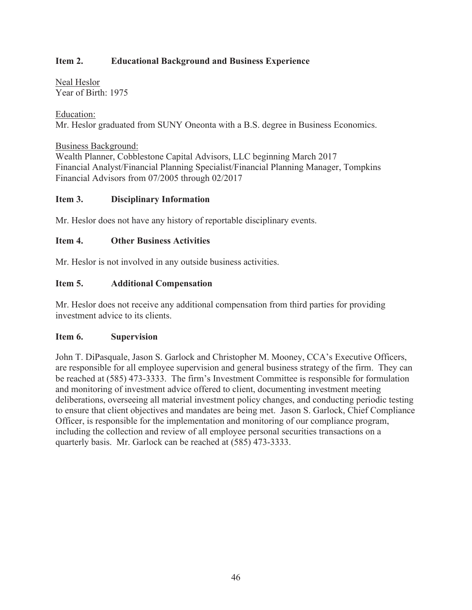Neal Heslor Year of Birth: 1975

Education: Mr. Heslor graduated from SUNY Oneonta with a B.S. degree in Business Economics.

Business Background: Wealth Planner, Cobblestone Capital Advisors, LLC beginning March 2017 Financial Analyst/Financial Planning Specialist/Financial Planning Manager, Tompkins Financial Advisors from 07/2005 through 02/2017

#### **Item 3. Disciplinary Information**

Mr. Heslor does not have any history of reportable disciplinary events.

## **Item 4. Other Business Activities**

Mr. Heslor is not involved in any outside business activities.

## **Item 5. Additional Compensation**

Mr. Heslor does not receive any additional compensation from third parties for providing investment advice to its clients.

#### **Item 6. Supervision**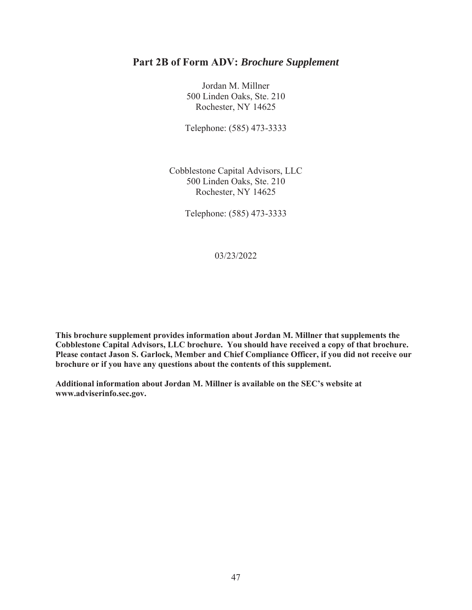Jordan M. Millner 500 Linden Oaks, Ste. 210 Rochester, NY 14625

Telephone: (585) 473-3333

Cobblestone Capital Advisors, LLC 500 Linden Oaks, Ste. 210 Rochester, NY 14625

Telephone: (585) 473-3333

03/23/2022

**This brochure supplement provides information about Jordan M. Millner that supplements the Cobblestone Capital Advisors, LLC brochure. You should have received a copy of that brochure. Please contact Jason S. Garlock, Member and Chief Compliance Officer, if you did not receive our brochure or if you have any questions about the contents of this supplement.** 

**Additional information about Jordan M. Millner is available on the SEC's website at www.adviserinfo.sec.gov.**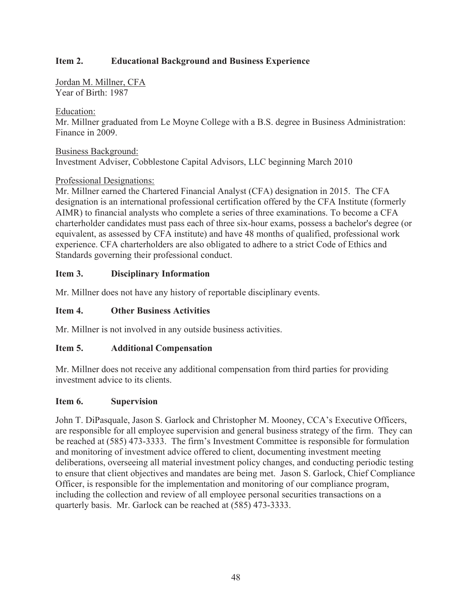Jordan M. Millner, CFA Year of Birth: 1987

#### Education:

Mr. Millner graduated from Le Moyne College with a B.S. degree in Business Administration: Finance in 2009.

#### Business Background: Investment Adviser, Cobblestone Capital Advisors, LLC beginning March 2010

## Professional Designations:

Mr. Millner earned the Chartered Financial Analyst (CFA) designation in 2015. The CFA designation is an international professional certification offered by the CFA Institute (formerly AIMR) to financial analysts who complete a series of three examinations. To become a CFA charterholder candidates must pass each of three six-hour exams, possess a bachelor's degree (or equivalent, as assessed by CFA institute) and have 48 months of qualified, professional work experience. CFA charterholders are also obligated to adhere to a strict Code of Ethics and Standards governing their professional conduct.

## **Item 3. Disciplinary Information**

Mr. Millner does not have any history of reportable disciplinary events.

## **Item 4. Other Business Activities**

Mr. Millner is not involved in any outside business activities.

## **Item 5. Additional Compensation**

Mr. Millner does not receive any additional compensation from third parties for providing investment advice to its clients.

#### **Item 6. Supervision**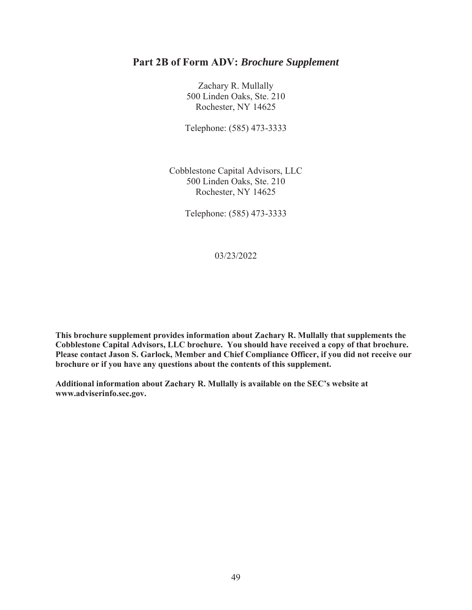Zachary R. Mullally 500 Linden Oaks, Ste. 210 Rochester, NY 14625

Telephone: (585) 473-3333

Cobblestone Capital Advisors, LLC 500 Linden Oaks, Ste. 210 Rochester, NY 14625

Telephone: (585) 473-3333

03/23/2022

**This brochure supplement provides information about Zachary R. Mullally that supplements the Cobblestone Capital Advisors, LLC brochure. You should have received a copy of that brochure. Please contact Jason S. Garlock, Member and Chief Compliance Officer, if you did not receive our brochure or if you have any questions about the contents of this supplement.** 

**Additional information about Zachary R. Mullally is available on the SEC's website at www.adviserinfo.sec.gov.**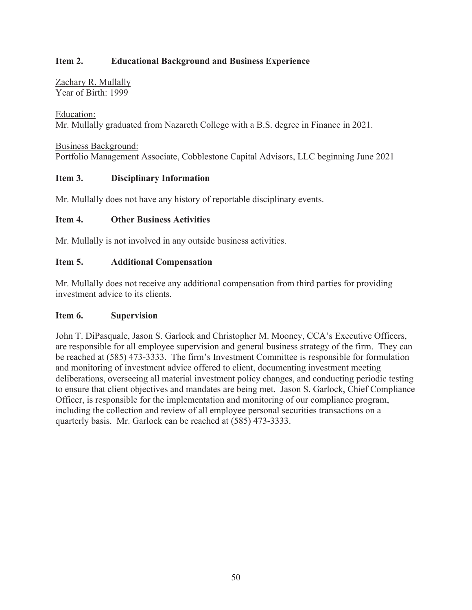Zachary R. Mullally Year of Birth: 1999

Education: Mr. Mullally graduated from Nazareth College with a B.S. degree in Finance in 2021.

Business Background: Portfolio Management Associate, Cobblestone Capital Advisors, LLC beginning June 2021

## **Item 3. Disciplinary Information**

Mr. Mullally does not have any history of reportable disciplinary events.

#### **Item 4. Other Business Activities**

Mr. Mullally is not involved in any outside business activities.

## **Item 5. Additional Compensation**

Mr. Mullally does not receive any additional compensation from third parties for providing investment advice to its clients.

#### **Item 6. Supervision**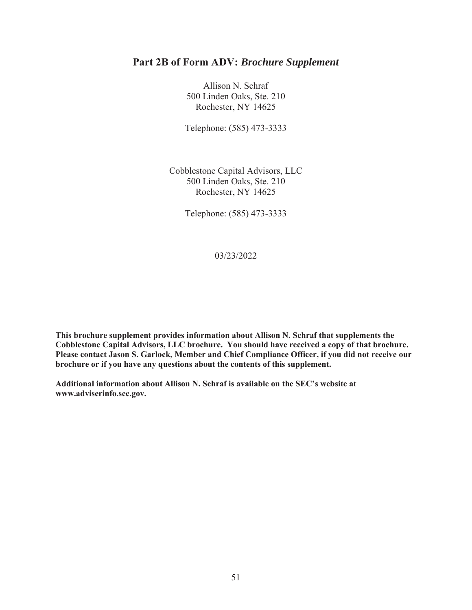Allison N. Schraf 500 Linden Oaks, Ste. 210 Rochester, NY 14625

Telephone: (585) 473-3333

Cobblestone Capital Advisors, LLC 500 Linden Oaks, Ste. 210 Rochester, NY 14625

Telephone: (585) 473-3333

03/23/2022

**This brochure supplement provides information about Allison N. Schraf that supplements the Cobblestone Capital Advisors, LLC brochure. You should have received a copy of that brochure. Please contact Jason S. Garlock, Member and Chief Compliance Officer, if you did not receive our brochure or if you have any questions about the contents of this supplement.** 

**Additional information about Allison N. Schraf is available on the SEC's website at www.adviserinfo.sec.gov.**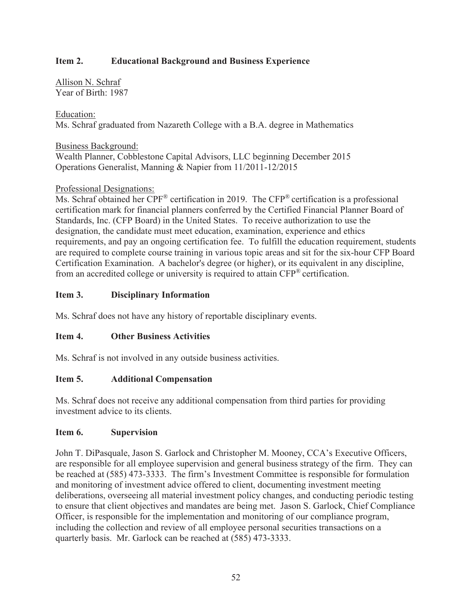Allison N. Schraf Year of Birth: 1987

## Education:

Ms. Schraf graduated from Nazareth College with a B.A. degree in Mathematics

Business Background:

Wealth Planner, Cobblestone Capital Advisors, LLC beginning December 2015 Operations Generalist, Manning & Napier from 11/2011-12/2015

## Professional Designations:

Ms. Schraf obtained her CPF® certification in 2019. The CFP® certification is a professional certification mark for financial planners conferred by the Certified Financial Planner Board of Standards, Inc. (CFP Board) in the United States. To receive authorization to use the designation, the candidate must meet education, examination, experience and ethics requirements, and pay an ongoing certification fee. To fulfill the education requirement, students are required to complete course training in various topic areas and sit for the six-hour CFP Board Certification Examination. A bachelor's degree (or higher), or its equivalent in any discipline, from an accredited college or university is required to attain  $CFP^*$  certification.

## **Item 3. Disciplinary Information**

Ms. Schraf does not have any history of reportable disciplinary events.

## **Item 4. Other Business Activities**

Ms. Schraf is not involved in any outside business activities.

#### **Item 5. Additional Compensation**

Ms. Schraf does not receive any additional compensation from third parties for providing investment advice to its clients.

#### **Item 6. Supervision**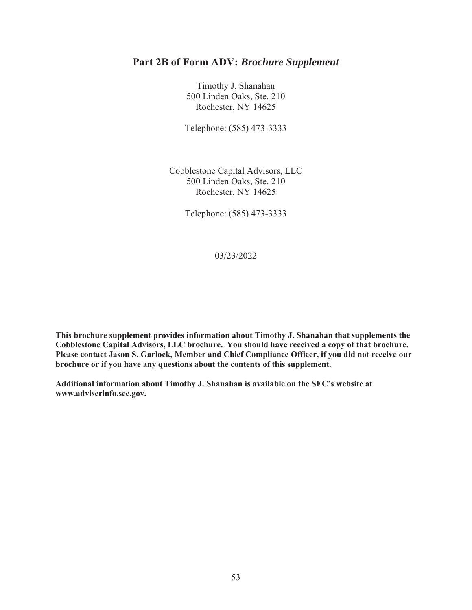Timothy J. Shanahan 500 Linden Oaks, Ste. 210 Rochester, NY 14625

Telephone: (585) 473-3333

Cobblestone Capital Advisors, LLC 500 Linden Oaks, Ste. 210 Rochester, NY 14625

Telephone: (585) 473-3333

03/23/2022

**This brochure supplement provides information about Timothy J. Shanahan that supplements the Cobblestone Capital Advisors, LLC brochure. You should have received a copy of that brochure. Please contact Jason S. Garlock, Member and Chief Compliance Officer, if you did not receive our brochure or if you have any questions about the contents of this supplement.** 

**Additional information about Timothy J. Shanahan is available on the SEC's website at www.adviserinfo.sec.gov.**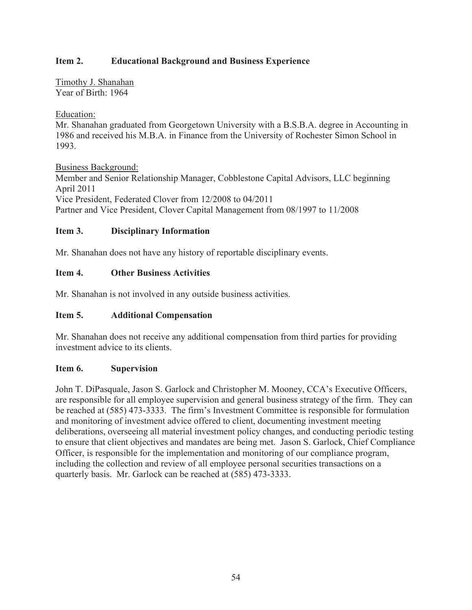Timothy J. Shanahan Year of Birth: 1964

## Education:

Mr. Shanahan graduated from Georgetown University with a B.S.B.A. degree in Accounting in 1986 and received his M.B.A. in Finance from the University of Rochester Simon School in 1993.

Business Background:

Member and Senior Relationship Manager, Cobblestone Capital Advisors, LLC beginning April 2011 Vice President, Federated Clover from 12/2008 to 04/2011 Partner and Vice President, Clover Capital Management from 08/1997 to 11/2008

## **Item 3. Disciplinary Information**

Mr. Shanahan does not have any history of reportable disciplinary events.

## **Item 4. Other Business Activities**

Mr. Shanahan is not involved in any outside business activities.

#### **Item 5. Additional Compensation**

Mr. Shanahan does not receive any additional compensation from third parties for providing investment advice to its clients.

#### **Item 6. Supervision**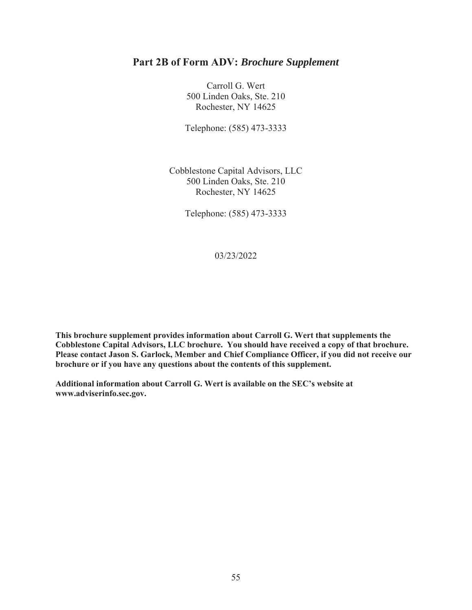Carroll G. Wert 500 Linden Oaks, Ste. 210 Rochester, NY 14625

Telephone: (585) 473-3333

Cobblestone Capital Advisors, LLC 500 Linden Oaks, Ste. 210 Rochester, NY 14625

Telephone: (585) 473-3333

03/23/2022

**This brochure supplement provides information about Carroll G. Wert that supplements the Cobblestone Capital Advisors, LLC brochure. You should have received a copy of that brochure. Please contact Jason S. Garlock, Member and Chief Compliance Officer, if you did not receive our brochure or if you have any questions about the contents of this supplement.** 

**Additional information about Carroll G. Wert is available on the SEC's website at www.adviserinfo.sec.gov.**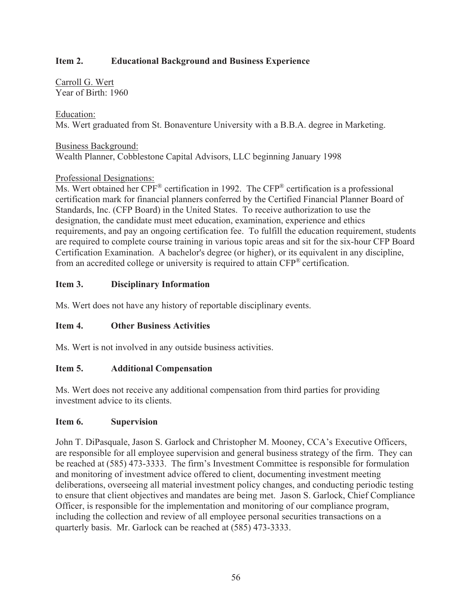Carroll G. Wert Year of Birth: 1960

## Education:

Ms. Wert graduated from St. Bonaventure University with a B.B.A. degree in Marketing.

Business Background: Wealth Planner, Cobblestone Capital Advisors, LLC beginning January 1998

## Professional Designations:

Ms. Wert obtained her CPF® certification in 1992. The CFP® certification is a professional certification mark for financial planners conferred by the Certified Financial Planner Board of Standards, Inc. (CFP Board) in the United States. To receive authorization to use the designation, the candidate must meet education, examination, experience and ethics requirements, and pay an ongoing certification fee. To fulfill the education requirement, students are required to complete course training in various topic areas and sit for the six-hour CFP Board Certification Examination. A bachelor's degree (or higher), or its equivalent in any discipline, from an accredited college or university is required to attain CFP® certification.

## **Item 3. Disciplinary Information**

Ms. Wert does not have any history of reportable disciplinary events.

## **Item 4. Other Business Activities**

Ms. Wert is not involved in any outside business activities.

## **Item 5. Additional Compensation**

Ms. Wert does not receive any additional compensation from third parties for providing investment advice to its clients.

#### **Item 6. Supervision**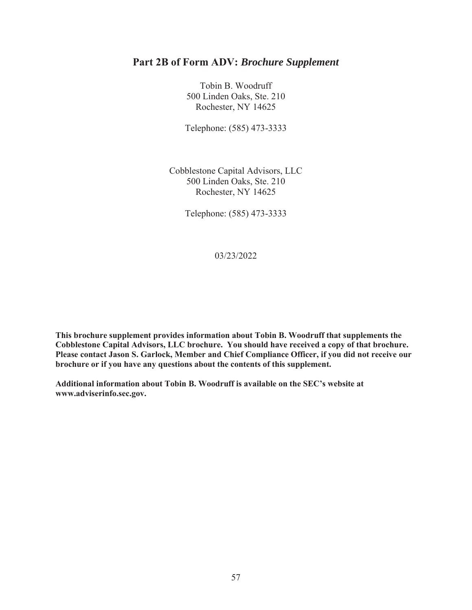Tobin B. Woodruff 500 Linden Oaks, Ste. 210 Rochester, NY 14625

Telephone: (585) 473-3333

Cobblestone Capital Advisors, LLC 500 Linden Oaks, Ste. 210 Rochester, NY 14625

Telephone: (585) 473-3333

03/23/2022

**This brochure supplement provides information about Tobin B. Woodruff that supplements the Cobblestone Capital Advisors, LLC brochure. You should have received a copy of that brochure. Please contact Jason S. Garlock, Member and Chief Compliance Officer, if you did not receive our brochure or if you have any questions about the contents of this supplement.** 

**Additional information about Tobin B. Woodruff is available on the SEC's website at www.adviserinfo.sec.gov.**